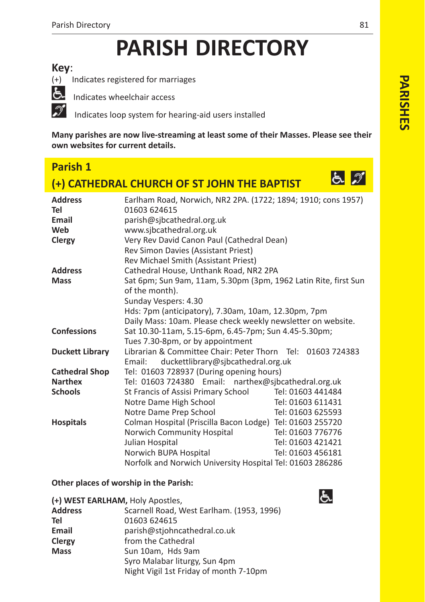# **PARISH DIRECTORY**

## **Key**:



(+) Indicates registered for marriages

th Indicates wheelchair access

Indicates loop system for hearing-aid users installed

**Many parishes are now livestreaming at least some of their Masses. Please see their own websites for current details.**

# **Parish 1**

# **(+) CATHEDRAL CHURCH OF ST JOHN THE BAPTIST**



| <b>Address</b><br>Tel | Earlham Road, Norwich, NR2 2PA. (1722; 1894; 1910; cons 1957)<br>01603 624615 |                   |
|-----------------------|-------------------------------------------------------------------------------|-------------------|
| Email                 | parish@sjbcathedral.org.uk                                                    |                   |
| Web                   | www.sjbcathedral.org.uk                                                       |                   |
| Clergy                | Very Rev David Canon Paul (Cathedral Dean)                                    |                   |
|                       | Rev Simon Davies (Assistant Priest)                                           |                   |
|                       | Rev Michael Smith (Assistant Priest)                                          |                   |
| <b>Address</b>        | Cathedral House, Unthank Road, NR2 2PA                                        |                   |
| <b>Mass</b>           | Sat 6pm; Sun 9am, 11am, 5.30pm (3pm, 1962 Latin Rite, first Sun               |                   |
|                       | of the month).                                                                |                   |
|                       | Sunday Vespers: 4.30                                                          |                   |
|                       | Hds: 7pm (anticipatory), 7.30am, 10am, 12.30pm, 7pm                           |                   |
|                       | Daily Mass: 10am. Please check weekly newsletter on website.                  |                   |
| <b>Confessions</b>    | Sat 10.30-11am, 5.15-6pm, 6.45-7pm; Sun 4.45-5.30pm;                          |                   |
|                       | Tues 7.30-8pm, or by appointment                                              |                   |
| Duckett Library       | Librarian & Committee Chair: Peter Thorn Tel: 01603 724383                    |                   |
|                       | duckettlibrary@sjbcathedral.org.uk<br>Email:                                  |                   |
| <b>Cathedral Shop</b> | Tel: 01603 728937 (During opening hours)                                      |                   |
| <b>Narthex</b>        | Tel: 01603 724380 Email: narthex@sjbcathedral.org.uk                          |                   |
| <b>Schools</b>        | St Francis of Assisi Primary School                                           | Tel: 01603 441484 |
|                       | Notre Dame High School                                                        | Tel: 01603 611431 |
|                       | Notre Dame Prep School                                                        | Tel: 01603 625593 |
| <b>Hospitals</b>      | Colman Hospital (Priscilla Bacon Lodge) Tel: 01603 255720                     |                   |
|                       | Norwich Community Hospital                                                    | Tel: 01603 776776 |
|                       | Julian Hospital                                                               | Tel: 01603 421421 |
|                       | Norwich BUPA Hospital                                                         | Tel: 01603 456181 |
|                       | Norfolk and Norwich University Hospital Tel: 01603 286286                     |                   |

### **Other places of worship in the Parish:**

|                | (+) WEST EARLHAM, Holy Apostles,          |
|----------------|-------------------------------------------|
| <b>Address</b> | Scarnell Road, West Earlham. (1953, 1996) |
| Tel            | 01603 624615                              |
| Email          | parish@stjohncathedral.co.uk              |
| Clergy         | from the Cathedral                        |
| <b>Mass</b>    | Sun 10am, Hds 9am                         |
|                | Syro Malabar liturgy, Sun 4pm             |
|                | Night Vigil 1st Friday of month 7-10pm    |

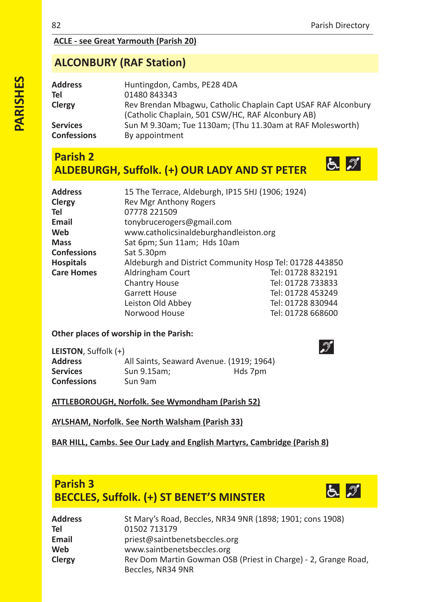$52$ 

## **ACLE see Great Yarmouth (Parish 20)**

# **ALCONBURY (RAF Station)**

| Address                        | Huntingdon, Cambs, PE28 4DA                                                                                        |
|--------------------------------|--------------------------------------------------------------------------------------------------------------------|
| Tel                            | 01480843343                                                                                                        |
| Clergy                         | Rev Brendan Mbagwu, Catholic Chaplain Capt USAF RAF Alconbury<br>(Catholic Chaplain, 501 CSW/HC, RAF Alconbury AB) |
| Services<br><b>Confessions</b> | Sun M 9.30am; Tue 1130am; (Thu 11.30am at RAF Molesworth)<br>By appointment                                        |

## **Parish 2 ALDEBURGH, Suffolk. (+) OUR LADY AND ST PETER**

| <b>Address</b>    | 15 The Terrace, Aldeburgh, IP15 5HJ (1906; 1924)        |                   |  |
|-------------------|---------------------------------------------------------|-------------------|--|
| Clergy            | Rev Mgr Anthony Rogers                                  |                   |  |
| Tel               | 07778 221509                                            |                   |  |
| Email             | tonybrucerogers@gmail.com                               |                   |  |
| Web               | www.catholicsinaldeburghandleiston.org                  |                   |  |
| <b>Mass</b>       | Sat 6pm; Sun 11am; Hds 10am                             |                   |  |
| Confessions       | Sat 5.30pm                                              |                   |  |
| <b>Hospitals</b>  | Aldeburgh and District Community Hosp Tel: 01728 443850 |                   |  |
| <b>Care Homes</b> | Aldringham Court                                        | Tel: 01728 832191 |  |
|                   | <b>Chantry House</b>                                    | Tel: 01728 733833 |  |
|                   | <b>Garrett House</b>                                    | Tel: 01728 453249 |  |
|                   | Leiston Old Abbey                                       | Tel: 01728 830944 |  |
|                   | Norwood House                                           | Tel: 01728 668600 |  |
|                   |                                                         |                   |  |

#### **Other places of worship in the Parish:**

| LEISTON, Suffolk (+) |                                          |         |
|----------------------|------------------------------------------|---------|
| <b>Address</b>       | All Saints, Seaward Avenue. (1919; 1964) |         |
| <b>Services</b>      | Sun 9.15am:                              | Hds 7pm |
| <b>Confessions</b>   | Sun 9am                                  |         |

## **ATTLEBOROUGH, Norfolk. See Wymondham (Parish 52)**

**AYLSHAM, Norfolk. See North Walsham (Parish 33)**

## **BAR HILL, Cambs. See Our Lady and English Martyrs, Cambridge (Parish 8)**

# **Parish 3 BECCLES, Suffolk. (+) ST BENET'S MINSTER**



| Address | St Mary's Road, Beccles, NR34 9NR (1898; 1901; cons 1908)                           |
|---------|-------------------------------------------------------------------------------------|
| Tel     | 01502 713179                                                                        |
| Email   | priest@saintbenetsbeccles.org                                                       |
| Web     | www.saintbenetsbeccles.org                                                          |
| Clergy  | Rev Dom Martin Gowman OSB (Priest in Charge) - 2, Grange Road,<br>Beccles, NR34 9NR |

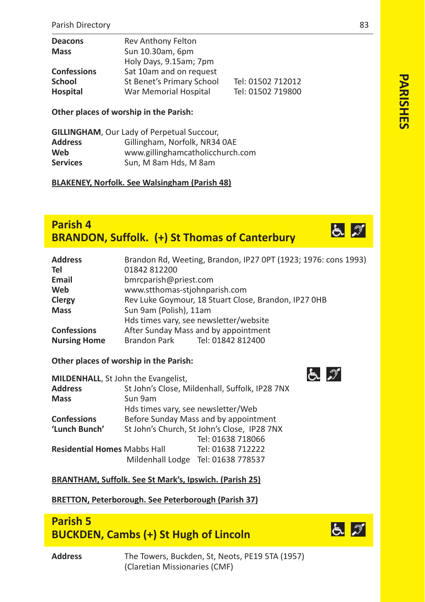| Rev Anthony Felton        |                   |
|---------------------------|-------------------|
| Sun 10.30am, 6pm          |                   |
| Holy Days, 9.15am; 7pm    |                   |
| Sat 10am and on request   |                   |
| St Benet's Primary School | Tel: 01502 712012 |
| War Memorial Hospital     | Tel: 01502 719800 |
|                           |                   |

**Other places of worship in the Parish:**

| <b>GILLINGHAM, Our Lady of Perpetual Succour,</b> |                                  |  |
|---------------------------------------------------|----------------------------------|--|
| <b>Address</b>                                    | Gillingham, Norfolk, NR34 0AE    |  |
| Web                                               | www.gillinghamcatholicchurch.com |  |
| <b>Services</b>                                   | Sun, M 8am Hds, M 8am            |  |

**BLAKENEY, Norfolk. See Walsingham (Parish 48)**

## **Parish 4 BRANDON, Suffolk. (+) St Thomas of Canterbury**

| <b>Address</b><br>Tel | Brandon Rd, Weeting, Brandon, IP27 0PT (1923; 1976: cons 1993)<br>01842 812200 |  |  |
|-----------------------|--------------------------------------------------------------------------------|--|--|
|                       |                                                                                |  |  |
| Email                 | bmrcparish@priest.com                                                          |  |  |
| Web                   | www.stthomas-stjohnparish.com                                                  |  |  |
| Clergy                | Rev Luke Goymour, 18 Stuart Close, Brandon, IP27 OHB                           |  |  |
| <b>Mass</b>           | Sun 9am (Polish), 11am                                                         |  |  |
|                       | Hds times vary, see newsletter/website                                         |  |  |
| <b>Confessions</b>    | After Sunday Mass and by appointment                                           |  |  |
| <b>Nursing Home</b>   | Brandon Park Tel: 01842 812400                                                 |  |  |

**Other places of worship in the Parish:** 

| MILDENHALL, St John the Evangelist, |                                                |                                    |
|-------------------------------------|------------------------------------------------|------------------------------------|
| <b>Address</b>                      | St John's Close, Mildenhall, Suffolk, IP28 7NX |                                    |
| <b>Mass</b>                         | Sun 9am                                        |                                    |
|                                     | Hds times vary, see newsletter/Web             |                                    |
| <b>Confessions</b>                  | Before Sunday Mass and by appointment          |                                    |
| 'Lunch Bunch'                       | St John's Church, St John's Close, IP28 7NX    |                                    |
|                                     |                                                | Tel: 01638 718066                  |
| <b>Residential Homes Mabbs Hall</b> |                                                | Tel: 01638 712222                  |
|                                     |                                                | Mildenhall Lodge Tel: 01638 778537 |

**BRANTHAM, Suffolk. See St Mark's, Ipswich. (Parish 25)**

**BRETTON, Peterborough. See Peterborough (Parish 37)**

# **Parish 5 BUCKDEN, Cambs (+) St Hugh of Lincoln**



PARISHES **PARISHES**

**Address** The Towers, Buckden, St, Neots, PE19 5TA (1957) (Claretian Missionaries (CMF)



とが

と づ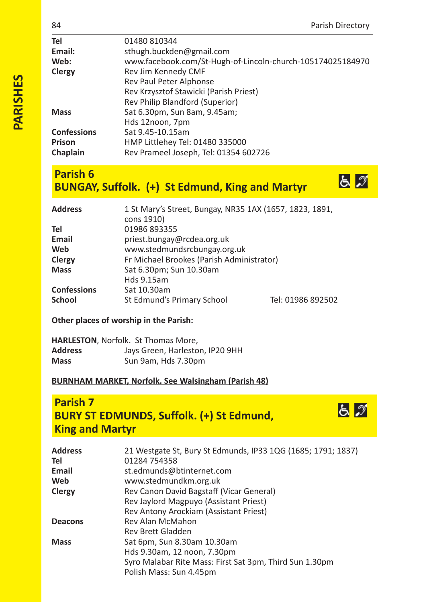$52$ 

 $52$ 

| Tel                | 01480 810344                                               |
|--------------------|------------------------------------------------------------|
| Email:             | sthugh.buckden@gmail.com                                   |
| Web:               | www.facebook.com/St-Hugh-of-Lincoln-church-105174025184970 |
| Clergy             | Rev Jim Kennedy CMF                                        |
|                    | Rev Paul Peter Alphonse                                    |
|                    | Rev Krzysztof Stawicki (Parish Priest)                     |
|                    | Rev Philip Blandford (Superior)                            |
| <b>Mass</b>        | Sat 6.30pm, Sun 8am, 9.45am;                               |
|                    | Hds 12noon, 7pm                                            |
| <b>Confessions</b> | Sat 9.45-10.15am                                           |
| Prison             | HMP Littlehey Tel: 01480 335000                            |
| Chaplain           | Rev Prameel Joseph, Tel: 01354 602726                      |
|                    |                                                            |

# **Parish 6 BUNGAY, Suffolk. (+) St Edmund, King and Martyr**

| Address            | 1 St Mary's Street, Bungay, NR35 1AX (1657, 1823, 1891, |                   |
|--------------------|---------------------------------------------------------|-------------------|
|                    | cons 1910)                                              |                   |
| Tel                | 01986 893355                                            |                   |
| Email              | priest.bungay@rcdea.org.uk                              |                   |
| Web                | www.stedmundsrcbungay.org.uk                            |                   |
| Clergy             | Fr Michael Brookes (Parish Administrator)               |                   |
| Mass               | Sat 6.30pm; Sun 10.30am                                 |                   |
|                    | Hds 9.15am                                              |                   |
| <b>Confessions</b> | Sat 10.30am                                             |                   |
| School             | St Edmund's Primary School                              | Tel: 01986 892502 |
|                    |                                                         |                   |

## **Other places of worship in the Parish:**

|         | <b>HARLESTON, Norfolk. St Thomas More,</b> |
|---------|--------------------------------------------|
| Address | Jays Green, Harleston, IP20 9HH            |
| Mass    | Sun 9am, Hds 7.30pm                        |

## **BURNHAM MARKET, Norfolk. See Walsingham (Parish 48)**

# **Parish 7 BURY ST EDMUNDS, Suffolk. (+) St Edmund, King and Martyr**

| <b>Address</b> | 21 Westgate St, Bury St Edmunds, IP33 1QG (1685; 1791; 1837) |
|----------------|--------------------------------------------------------------|
| Tel            | 01284 754358                                                 |
| Email          | st.edmunds@btinternet.com                                    |
| Web            | www.stedmundkm.org.uk                                        |
| Clergy         | Rev Canon David Bagstaff (Vicar General)                     |
|                | Rev Jaylord Magpuyo (Assistant Priest)                       |
|                | Rev Antony Arockiam (Assistant Priest)                       |
| <b>Deacons</b> | Rev Alan McMahon                                             |
|                | Rev Brett Gladden                                            |
| <b>Mass</b>    | Sat 6pm, Sun 8.30am 10.30am                                  |
|                | Hds 9.30am, 12 noon, 7.30pm                                  |
|                | Syro Malabar Rite Mass: First Sat 3pm, Third Sun 1.30pm      |
|                | Polish Mass: Sun 4.45pm                                      |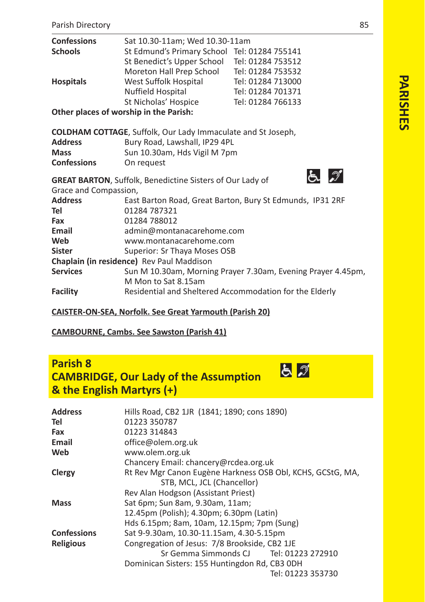| <b>Confessions</b>                     | Sat 10.30-11am; Wed 10.30-11am                                   |                                                              |
|----------------------------------------|------------------------------------------------------------------|--------------------------------------------------------------|
| <b>Schools</b>                         | St Edmund's Primary School Tel: 01284 755141                     |                                                              |
|                                        | St Benedict's Upper School                                       | Tel: 01284 753512                                            |
|                                        | Moreton Hall Prep School                                         | Tel: 01284 753532                                            |
| <b>Hospitals</b>                       | West Suffolk Hospital                                            | Tel: 01284 713000                                            |
|                                        | Nuffield Hospital                                                | Tel: 01284 701371                                            |
|                                        | St Nicholas' Hospice                                             | Tel: 01284 766133                                            |
| Other places of worship in the Parish: |                                                                  |                                                              |
|                                        | COLDHAM COTTAGE, Suffolk, Our Lady Immaculate and St Joseph,     |                                                              |
| <b>Address</b>                         | Bury Road, Lawshall, IP29 4PL                                    |                                                              |
| <b>Mass</b>                            | Sun 10.30am, Hds Vigil M 7pm                                     |                                                              |
| <b>Confessions</b>                     | On request                                                       |                                                              |
|                                        | <b>GREAT BARTON, Suffolk, Benedictine Sisters of Our Lady of</b> | よ グ                                                          |
| Grace and Compassion,                  |                                                                  |                                                              |
| <b>Address</b>                         |                                                                  | East Barton Road, Great Barton, Bury St Edmunds, IP31 2RF    |
| Tel                                    | 01284 787321                                                     |                                                              |
| Fax                                    | 01284 788012                                                     |                                                              |
| Email                                  | admin@montanacarehome.com                                        |                                                              |
| Web                                    | www.montanacarehome.com                                          |                                                              |
| <b>Sister</b>                          | Superior: Sr Thaya Moses OSB                                     |                                                              |
|                                        | Chaplain (in residence) Rev Paul Maddison                        |                                                              |
| <b>Services</b>                        |                                                                  | Sun M 10.30am, Morning Prayer 7.30am, Evening Prayer 4.45pm, |
|                                        | M Mon to Sat 8.15am                                              |                                                              |
| <b>Facility</b>                        | Residential and Sheltered Accommodation for the Elderly          |                                                              |
|                                        | CAICTED ON CEA NE JE-IL C. . Current Mousseul (Best-I. GO)       |                                                              |

**CAISTERONSEA, Norfolk. See Great Yarmouth (Parish 20)**

**CAMBOURNE, Cambs. See Sawston (Parish 41)**

# **Parish 8 CAMBRIDGE, Our Lady of the Assumption & the English Martyrs (+)**

| <b>Address</b>     | Hills Road, CB2 1JR (1841; 1890; cons 1890)                |
|--------------------|------------------------------------------------------------|
| Tel                | 01223 350787                                               |
| Fax                | 01223 314843                                               |
| Email              | office@olem.org.uk                                         |
| Web                | www.olem.org.uk                                            |
|                    | Chancery Email: chancery@rcdea.org.uk                      |
| Clergy             | Rt Rev Mgr Canon Eugène Harkness OSB Obl, KCHS, GCStG, MA, |
|                    | STB, MCL, JCL (Chancellor)                                 |
|                    | Rev Alan Hodgson (Assistant Priest)                        |
| <b>Mass</b>        | Sat 6pm; Sun 8am, 9.30am, 11am;                            |
|                    | 12.45pm (Polish); 4.30pm; 6.30pm (Latin)                   |
|                    | Hds 6.15pm; 8am, 10am, 12.15pm; 7pm (Sung)                 |
| <b>Confessions</b> | Sat 9-9.30am, 10.30-11.15am, 4.30-5.15pm                   |
| <b>Religious</b>   | Congregation of Jesus: 7/8 Brookside, CB2 1JE              |
|                    | Sr Gemma Simmonds CJ<br>Tel: 01223 272910                  |
|                    | Dominican Sisters: 155 Huntingdon Rd, CB3 0DH              |
|                    | Tel: 01223 353730                                          |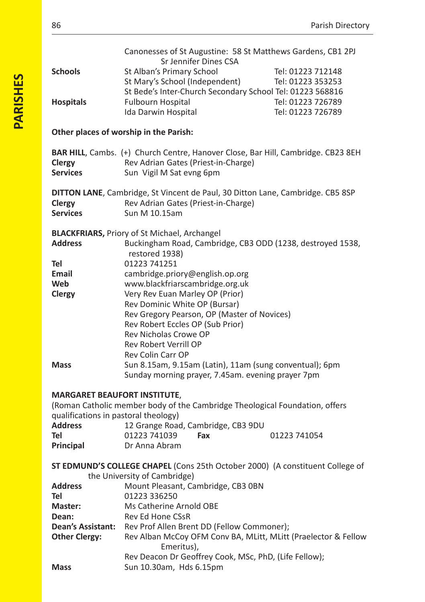|                                      | Canonesses of St Augustine: 58 St Matthews Gardens, CB1 2PJ                      |
|--------------------------------------|----------------------------------------------------------------------------------|
|                                      | Sr Jennifer Dines CSA                                                            |
| <b>Schools</b>                       | St Alban's Primary School<br>Tel: 01223 712148                                   |
|                                      | St Mary's School (Independent)<br>Tel: 01223 353253                              |
|                                      | St Bede's Inter-Church Secondary School Tel: 01223 568816<br>Tel: 01223 726789   |
| <b>Hospitals</b>                     | <b>Fulbourn Hospital</b><br>Ida Darwin Hospital<br>Tel: 01223 726789             |
|                                      |                                                                                  |
|                                      | Other places of worship in the Parish:                                           |
|                                      | BAR HILL, Cambs. (+) Church Centre, Hanover Close, Bar Hill, Cambridge. CB23 8EH |
| Clergy                               | Rev Adrian Gates (Priest-in-Charge)                                              |
| <b>Services</b>                      | Sun Vigil M Sat evng 6pm                                                         |
|                                      |                                                                                  |
|                                      | DITTON LANE, Cambridge, St Vincent de Paul, 30 Ditton Lane, Cambridge. CB5 8SP   |
| Clergy                               | Rev Adrian Gates (Priest-in-Charge)                                              |
| <b>Services</b>                      | Sun M 10.15am                                                                    |
|                                      |                                                                                  |
|                                      | <b>BLACKFRIARS, Priory of St Michael, Archangel</b>                              |
| <b>Address</b>                       | Buckingham Road, Cambridge, CB3 ODD (1238, destroyed 1538,                       |
|                                      | restored 1938)                                                                   |
| Tel                                  | 01223 741251                                                                     |
| Email                                | cambridge.priory@english.op.org                                                  |
| Web                                  | www.blackfriarscambridge.org.uk                                                  |
| Clergy                               | Very Rev Euan Marley OP (Prior)                                                  |
|                                      | Rev Dominic White OP (Bursar)                                                    |
|                                      | Rev Gregory Pearson, OP (Master of Novices)                                      |
|                                      | Rev Robert Eccles OP (Sub Prior)                                                 |
|                                      | Rev Nicholas Crowe OP                                                            |
|                                      | Rev Robert Verrill OP                                                            |
|                                      | <b>Rev Colin Carr OP</b>                                                         |
| <b>Mass</b>                          | Sun 8.15am, 9.15am (Latin), 11am (sung conventual); 6pm                          |
|                                      | Sunday morning prayer, 7.45am. evening prayer 7pm                                |
| <b>MARGARET BEAUFORT INSTITUTE,</b>  |                                                                                  |
|                                      | (Roman Catholic member body of the Cambridge Theological Foundation, offers      |
| qualifications in pastoral theology) |                                                                                  |
| <b>Address</b>                       | 12 Grange Road, Cambridge, CB3 9DU                                               |
| Tel                                  | 01223 741039<br>Fax<br>01223 741054                                              |
| Principal                            | Dr Anna Abram                                                                    |
|                                      |                                                                                  |
|                                      | ST EDMUND'S COLLEGE CHAPEL (Cons 25th October 2000) (A constituent College of    |
|                                      | the University of Cambridge)                                                     |
| <b>Address</b>                       | Mount Pleasant, Cambridge, CB3 OBN                                               |
| Tel                                  | 01223 336250                                                                     |
| Master:                              | Ms Catherine Arnold OBE                                                          |
| Dean:                                | Rev Ed Hone CSsR                                                                 |
| <b>Dean's Assistant:</b>             | Rev Prof Allen Brent DD (Fellow Commoner);                                       |
| <b>Other Clergy:</b>                 | Rev Alban McCoy OFM Conv BA, MLitt, MLitt (Praelector & Fellow                   |
|                                      | Emeritus),                                                                       |
|                                      | Rev Deacon Dr Geoffrey Cook, MSc, PhD, (Life Fellow);                            |
| Mass                                 | Sun 10.30am, Hds 6.15pm                                                          |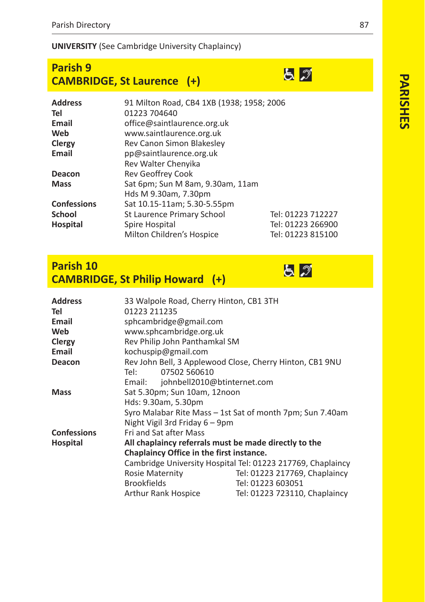## **UNIVERSITY** (See Cambridge University Chaplaincy)

| <b>Parish 9</b>                   |  |
|-----------------------------------|--|
| <b>CAMBRIDGE, St Laurence (+)</b> |  |

| <b>Address</b>     | 91 Milton Road, CB4 1XB (1938; 1958; 2006 |                   |
|--------------------|-------------------------------------------|-------------------|
| Tel                | 01223 704640                              |                   |
| Email              | office@saintlaurence.org.uk               |                   |
| Web                | www.saintlaurence.org.uk                  |                   |
| Clergy             | Rev Canon Simon Blakesley                 |                   |
| Email              | pp@saintlaurence.org.uk                   |                   |
|                    | Rev Walter Chenyika                       |                   |
| Deacon             | Rev Geoffrey Cook                         |                   |
| <b>Mass</b>        | Sat 6pm; Sun M 8am, 9.30am, 11am          |                   |
|                    | Hds M 9.30am, 7.30pm                      |                   |
| <b>Confessions</b> | Sat 10.15-11am; 5.30-5.55pm               |                   |
| <b>School</b>      | <b>St Laurence Primary School</b>         | Tel: 01223 712227 |
| Hospital           | Spire Hospital                            | Tel: 01223 266900 |
|                    | Milton Children's Hospice                 | Tel: 01223 815100 |

# **Parish 10 CAMBRIDGE, St Philip Howard (+)**

| <b>Address</b><br>Tel | 33 Walpole Road, Cherry Hinton, CB1 3TH<br>01223 211235  |                                                             |
|-----------------------|----------------------------------------------------------|-------------------------------------------------------------|
| Email                 | sphcambridge@gmail.com                                   |                                                             |
| Web                   | www.sphcambridge.org.uk                                  |                                                             |
| Clergy                | Rev Philip John Panthamkal SM                            |                                                             |
| Email                 | kochuspip@gmail.com                                      |                                                             |
| Deacon                | Rev John Bell, 3 Applewood Close, Cherry Hinton, CB1 9NU |                                                             |
|                       | 07502 560610<br>Tel:                                     |                                                             |
|                       | Email: johnbell2010@btinternet.com                       |                                                             |
| Mass                  | Sat 5.30pm; Sun 10am, 12noon                             |                                                             |
|                       | Hds: 9.30am, 5.30pm                                      |                                                             |
|                       |                                                          | Syro Malabar Rite Mass - 1st Sat of month 7pm; Sun 7.40am   |
|                       | Night Vigil 3rd Friday 6 - 9pm                           |                                                             |
| <b>Confessions</b>    | Fri and Sat after Mass                                   |                                                             |
| Hospital              | All chaplaincy referrals must be made directly to the    |                                                             |
|                       | Chaplaincy Office in the first instance.                 |                                                             |
|                       |                                                          | Cambridge University Hospital Tel: 01223 217769, Chaplaincy |
|                       | <b>Rosie Maternity</b>                                   | Tel: 01223 217769, Chaplaincy                               |
|                       | <b>Brookfields</b>                                       | Tel: 01223 603051                                           |
|                       | Arthur Rank Hospice                                      | Tel: 01223 723110, Chaplaincy                               |

 $52$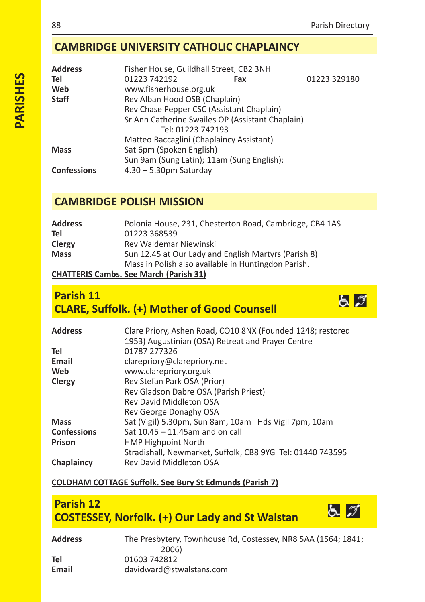とぶ

とが

## **CAMBRIDGE UNIVERSITY CATHOLIC CHAPLAINCY**

| <b>Address</b>     | Fisher House, Guildhall Street, CB2 3NH          |     |              |
|--------------------|--------------------------------------------------|-----|--------------|
| Tel                | 01223 742192                                     | Fax | 01223 329180 |
| Web                | www.fisherhouse.org.uk                           |     |              |
| <b>Staff</b>       | Rev Alban Hood OSB (Chaplain)                    |     |              |
|                    | Rev Chase Pepper CSC (Assistant Chaplain)        |     |              |
|                    | Sr Ann Catherine Swailes OP (Assistant Chaplain) |     |              |
|                    | Tel: 01223 742193                                |     |              |
|                    | Matteo Baccaglini (Chaplaincy Assistant)         |     |              |
| <b>Mass</b>        | Sat 6pm (Spoken English)                         |     |              |
|                    | Sun 9am (Sung Latin); 11am (Sung English);       |     |              |
| <b>Confessions</b> | $4.30 - 5.30$ pm Saturdav                        |     |              |

## **CAMBRIDGE POLISH MISSION**

| <b>Address</b> | Polonia House, 231, Chesterton Road, Cambridge, CB4 1AS |
|----------------|---------------------------------------------------------|
| Tel            | 01223 368539                                            |
| Clergy         | Rev Waldemar Niewinski                                  |
| <b>Mass</b>    | Sun 12.45 at Our Lady and English Martyrs (Parish 8)    |
|                | Mass in Polish also available in Huntingdon Parish.     |
| ----------     |                                                         |

## **CHATTERIS Cambs. See March (Parish 31)**

# **Parish 11 CLARE, Suffolk. (+) Mother of Good Counsell**



## **COLDHAM COTTAGE Suffolk. See Bury St Edmunds (Parish 7)**

# **Parish 12 COSTESSEY, Norfolk. (+) Our Lady and St Walstan**

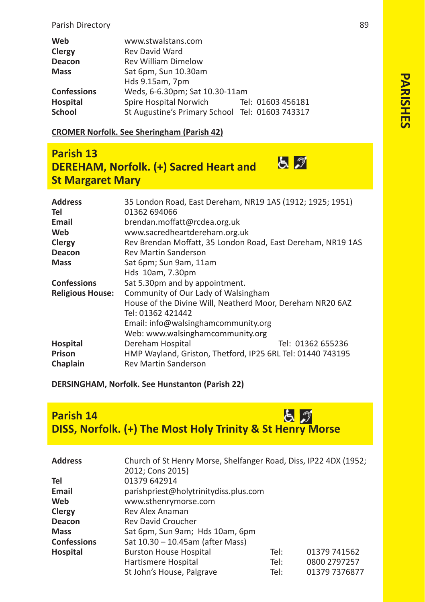| Web                | www.stwalstans.com                              |  |                   |
|--------------------|-------------------------------------------------|--|-------------------|
| Clergy             | <b>Rev David Ward</b>                           |  |                   |
| Deacon             | <b>Rev William Dimelow</b>                      |  |                   |
| <b>Mass</b>        | Sat 6pm, Sun 10.30am                            |  |                   |
|                    | Hds 9.15am, 7pm                                 |  |                   |
| <b>Confessions</b> | Weds, 6-6.30pm; Sat 10.30-11am                  |  |                   |
| Hospital           | Spire Hospital Norwich                          |  | Tel: 01603 456181 |
| <b>School</b>      | St Augustine's Primary School Tel: 01603 743317 |  |                   |

**CROMER Norfolk. See Sheringham (Parish 42)**

# **Parish 13 DEREHAM, Norfolk. (+) Sacred Heart and St Margaret Mary**

| <b>Address</b>          | 35 London Road, East Dereham, NR19 1AS (1912; 1925; 1951)   |
|-------------------------|-------------------------------------------------------------|
| Tel                     | 01362 694066                                                |
| Email                   | brendan.moffatt@rcdea.org.uk                                |
| Web                     | www.sacredheartdereham.org.uk                               |
| Clergy                  | Rev Brendan Moffatt, 35 London Road, East Dereham, NR19 1AS |
| Deacon                  | <b>Rev Martin Sanderson</b>                                 |
| <b>Mass</b>             | Sat 6pm; Sun 9am, 11am                                      |
|                         | Hds 10am, 7.30pm                                            |
| <b>Confessions</b>      | Sat 5.30pm and by appointment.                              |
| <b>Religious House:</b> | Community of Our Lady of Walsingham                         |
|                         | House of the Divine Will, Neatherd Moor, Dereham NR20 6AZ   |
|                         | Tel: 01362 421442                                           |
|                         | Email: info@walsinghamcommunity.org                         |
|                         | Web: www.walsinghamcommunity.org                            |
| Hospital                | Dereham Hospital<br>Tel: 01362 655236                       |
| Prison                  | HMP Wayland, Griston, Thetford, IP25 6RL Tel: 01440 743195  |
| Chaplain                | <b>Rev Martin Sanderson</b>                                 |

### **DERSINGHAM, Norfolk. See Hunstanton (Parish 22)**

# **Parish 14 Parish 14**<br>DISS, Norfolk. (+) The Most Holy Trinity & St Henry Morse

| <b>Address</b>     | Church of St Henry Morse, Shelfanger Road, Diss, IP22 4DX (1952; |      |               |
|--------------------|------------------------------------------------------------------|------|---------------|
|                    | 2012; Cons 2015)                                                 |      |               |
| Tel                | 01379 642914                                                     |      |               |
| Email              | parishpriest@holytrinitydiss.plus.com                            |      |               |
| Web                | www.sthenrymorse.com                                             |      |               |
| Clergy             | Rev Alex Anaman                                                  |      |               |
| Deacon             | <b>Rev David Croucher</b>                                        |      |               |
| <b>Mass</b>        | Sat 6pm, Sun 9am; Hds 10am, 6pm                                  |      |               |
| <b>Confessions</b> | Sat 10.30 - 10.45am (after Mass)                                 |      |               |
| Hospital           | <b>Burston House Hospital</b>                                    | Tel: | 01379 741562  |
|                    | Hartismere Hospital                                              | Tel: | 0800 2797257  |
|                    | St John's House, Palgrave                                        | Tel: | 01379 7376877 |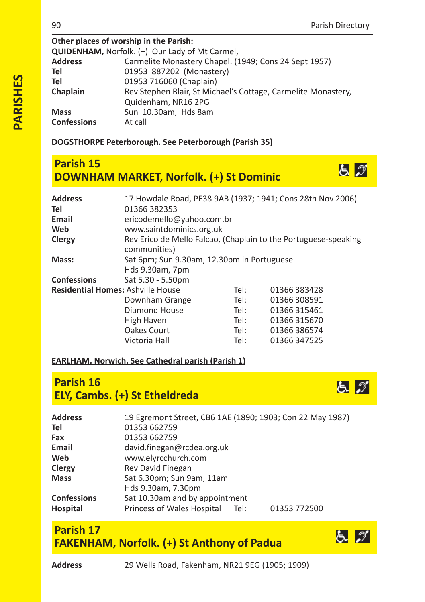とぶ

## **Other places of worship in the Parish: QUIDENHAM, Norfolk.** (+) Our Lady of Mt Carmel, Address Carmelite Monastery Chapel. (1) **Address** Carmelite Monastery Chapel. (1949; Cons 24 Sept 1957) **Tel** 01953 887202 (Monastery)<br> **Tel** 01953 716060 (Chaplain) **Tel** 01953 716060 (Chaplain) **Chaplain** Rev Stephen Blair, St Michael's Cottage, Carmelite Monastery, Quidenham, NR16 2PG **Mass** Sun 10.30am, Hds 8am<br> **Confessions** At call **Confessions**

## **DOGSTHORPE Peterborough. See Peterborough (Parish 35)**

# **Parish 15 DOWNHAM MARKET, Norfolk. (+) St Dominic**

| Address<br>Tel | 01366 382353                               |      | 17 Howdale Road, PE38 9AB (1937; 1941; Cons 28th Nov 2006)      |
|----------------|--------------------------------------------|------|-----------------------------------------------------------------|
| Email          | ericodemello@yahoo.com.br                  |      |                                                                 |
| Web            | www.saintdominics.org.uk                   |      |                                                                 |
| Clergy         | communities)                               |      | Rev Erico de Mello Falcao, (Chaplain to the Portuguese-speaking |
| Mass:          | Sat 6pm; Sun 9.30am, 12.30pm in Portuguese |      |                                                                 |
|                | Hds 9.30am, 7pm                            |      |                                                                 |
| Confessions    | Sat 5.30 - 5.50pm                          |      |                                                                 |
|                | <b>Residential Homes: Ashville House</b>   | Tel: | 01366 383428                                                    |
|                | Downham Grange                             | Tel: | 01366 308591                                                    |
|                | Diamond House                              | Tel: | 01366 315461                                                    |
|                | High Haven                                 | Tel: | 01366 315670                                                    |
|                | Oakes Court                                | Tel: | 01366 386574                                                    |
|                | Victoria Hall                              | Tel: | 01366 347525                                                    |

## **EARLHAM, Norwich. See Cathedral parish (Parish 1)**

# **Parish 16 ELY, Cambs. (+) St Etheldreda**



## **Parish 17 FAKENHAM, Norfolk. (+) St Anthony of Padua**



と づ

**Address** 29 Wells Road, Fakenham, NR21 9EG (1905; 1909)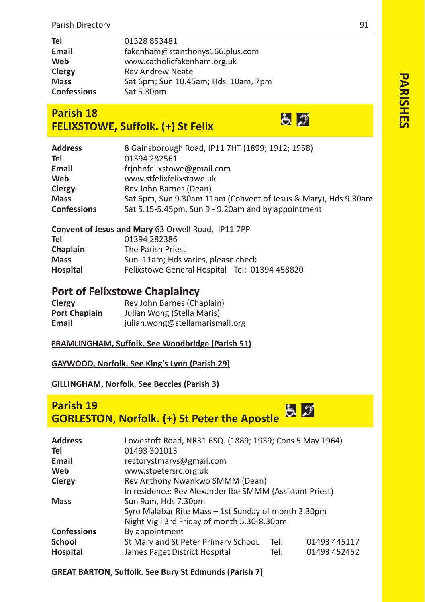| Tel                | 01328 853481                        |
|--------------------|-------------------------------------|
| Email              | fakenham@stanthonys166.plus.com     |
| Web                | www.catholicfakenham.org.uk         |
| Clergy             | <b>Rev Andrew Neate</b>             |
| <b>Mass</b>        | Sat 6pm; Sun 10.45am; Hds 10am, 7pm |
| <b>Confessions</b> | Sat 5.30pm                          |

# **Parish 18 FELIXSTOWE, Suffolk. (+) St Felix**

| <b>Address</b>     | 8 Gainsborough Road, IP11 7HT (1899; 1912; 1958)               |
|--------------------|----------------------------------------------------------------|
| Tel                | 01394 282561                                                   |
| Email              | frjohnfelixstowe@gmail.com                                     |
| Web                | www.stfelixfelixstowe.uk                                       |
| Clergy             | Rev John Barnes (Dean)                                         |
| <b>Mass</b>        | Sat 6pm, Sun 9.30am 11am (Convent of Jesus & Mary), Hds 9.30am |
| <b>Confessions</b> | Sat 5.15-5.45pm, Sun 9 - 9.20am and by appointment             |

| Convent of Jesus and Mary 63 Orwell Road, IP11 7PP |                                               |  |  |
|----------------------------------------------------|-----------------------------------------------|--|--|
| Tel                                                | 01394 282386                                  |  |  |
| Chaplain                                           | The Parish Priest                             |  |  |
| <b>Mass</b>                                        | Sun 11am; Hds varies, please check            |  |  |
| Hospital                                           | Felixstowe General Hospital Tel: 01394 458820 |  |  |

## **Port of Felixstowe Chaplaincy**

| Clergy               | Rev John Barnes (Chaplain)      |
|----------------------|---------------------------------|
| <b>Port Chaplain</b> | Julian Wong (Stella Maris)      |
| Email                | julian.wong@stellamarismail.org |

## **FRAMLINGHAM, Suffolk. See Woodbridge (Parish 51)**

#### **GAYWOOD, Norfolk. See King's Lynn (Parish 29)**

### **GILLINGHAM, Norfolk. See Beccles (Parish 3)**

# **Parish 19 GORLESTON, Norfolk. (+) St Peter the Apostle**

| <b>Address</b>     | Lowestoft Road, NR31 6SQ. (1889; 1939; Cons 5 May 1964) |      |              |
|--------------------|---------------------------------------------------------|------|--------------|
| Tel                | 01493 301013                                            |      |              |
| Email              | rectorystmarys@gmail.com                                |      |              |
| Web                | www.stpetersrc.org.uk                                   |      |              |
| Clergy             | Rev Anthony Nwankwo SMMM (Dean)                         |      |              |
|                    | In residence: Rev Alexander Ibe SMMM (Assistant Priest) |      |              |
| <b>Mass</b>        | Sun 9am, Hds 7.30pm                                     |      |              |
|                    | Syro Malabar Rite Mass - 1st Sunday of month 3.30pm     |      |              |
|                    | Night Vigil 3rd Friday of month 5.30-8.30pm             |      |              |
| <b>Confessions</b> | By appointment                                          |      |              |
| <b>School</b>      | St Mary and St Peter Primary SchooL                     | Tel: | 01493 445117 |
| Hospital           | James Paget District Hospital                           | Tel: | 01493 452452 |

#### **GREAT BARTON, Suffolk. See Bury St Edmunds (Parish 7)**

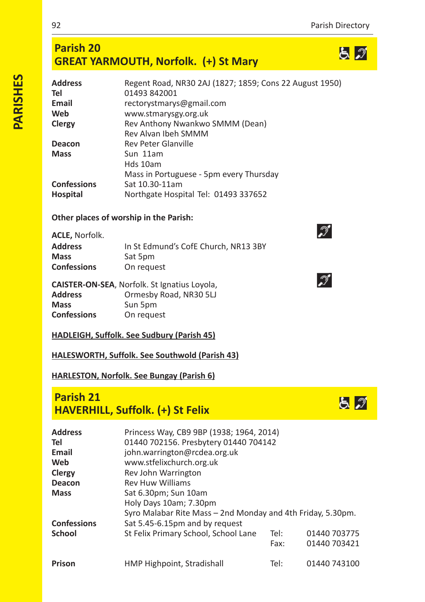$52$ 

# **Parish 20 GREAT YARMOUTH, Norfolk. (+) St Mary**

| Regent Road, NR30 2AJ (1827; 1859; Cons 22 August 1950) |
|---------------------------------------------------------|
| 01493 842001                                            |
| rectorystmarys@gmail.com                                |
| www.stmarysgy.org.uk                                    |
| Rev Anthony Nwankwo SMMM (Dean)                         |
| Rev Alvan Ibeh SMMM                                     |
| <b>Rev Peter Glanville</b>                              |
| Sun 11am                                                |
| Hds 10am                                                |
| Mass in Portuguese - 5pm every Thursday                 |
| Sat 10.30-11am                                          |
| Northgate Hospital Tel: 01493 337652                    |
|                                                         |

## **Other places of worship in the Parish:**

| <b>ACLE,</b> Norfolk. |                                      |
|-----------------------|--------------------------------------|
| Address               | In St Edmund's CofE Church, NR13 3BY |
| Mass                  | Sat 5pm                              |
| Confessions           | On request                           |
|                       |                                      |

| <b>CAISTER-ON-SEA, Norfolk. St Ignatius Loyola,</b> |                        |  |  |
|-----------------------------------------------------|------------------------|--|--|
| Address                                             | Ormesby Road, NR30 5LJ |  |  |
| Mass                                                | Sun 5pm                |  |  |
| Confessions                                         | On request             |  |  |

## **HADLEIGH, Suffolk. See Sudbury (Parish 45)**

**HALESWORTH, Suffolk. See Southwold (Parish 43)**

#### **HARLESTON, Norfolk. See Bungay (Parish 6)**

# **Parish 21 HAVERHILL, Suffolk. (+) St Felix**

| <b>Address</b><br>Tel<br>Email<br>Web<br>Clergy<br>Deacon<br><b>Mass</b> | Princess Way, CB9 9BP (1938; 1964, 2014)<br>01440 702156. Presbytery 01440 704142<br>john.warrington@rcdea.org.uk<br>www.stfelixchurch.org.uk<br>Rev John Warrington<br><b>Rev Huw Williams</b><br>Sat 6.30pm; Sun 10am<br>Holy Days 10am; 7.30pm<br>Syro Malabar Rite Mass - 2nd Monday and 4th Friday, 5.30pm. |      |              |
|--------------------------------------------------------------------------|------------------------------------------------------------------------------------------------------------------------------------------------------------------------------------------------------------------------------------------------------------------------------------------------------------------|------|--------------|
| <b>Confessions</b>                                                       | Sat 5.45-6.15pm and by request                                                                                                                                                                                                                                                                                   |      |              |
| <b>School</b>                                                            | St Felix Primary School, School Lane                                                                                                                                                                                                                                                                             | Tel: | 01440 703775 |
|                                                                          |                                                                                                                                                                                                                                                                                                                  | Fax: | 01440 703421 |
| Prison                                                                   | HMP Highpoint, Stradishall                                                                                                                                                                                                                                                                                       | Tel: | 01440 743100 |



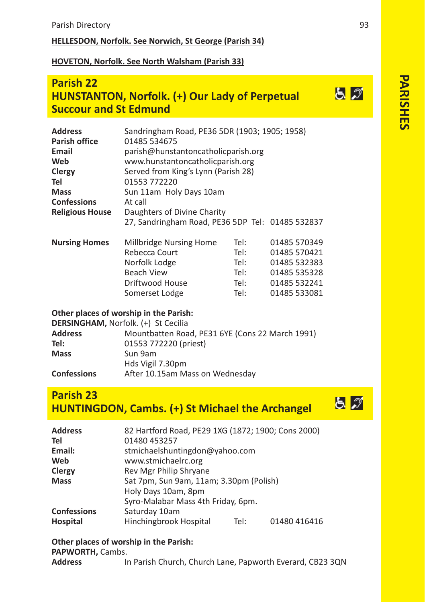## **HELLESDON, Norfolk. See Norwich, St George (Parish 34)**

#### **HOVETON, Norfolk. See North Walsham (Parish 33)**

# **Parish 22 HUNSTANTON, Norfolk. (+) Our Lady of Perpetual Succour and St Edmund**

| <b>Address</b>         | Sandringham Road, PE36 5DR (1903; 1905; 1958)    |      |              |  |
|------------------------|--------------------------------------------------|------|--------------|--|
| Parish office          | 01485 534675                                     |      |              |  |
| Email                  | parish@hunstantoncatholicparish.org              |      |              |  |
| Web                    | www.hunstantoncatholicparish.org                 |      |              |  |
| Clergy                 | Served from King's Lynn (Parish 28)              |      |              |  |
| Tel                    | 01553 772220                                     |      |              |  |
| <b>Mass</b>            | Sun 11am Holy Days 10am                          |      |              |  |
| <b>Confessions</b>     | At call                                          |      |              |  |
| <b>Religious House</b> | Daughters of Divine Charity                      |      |              |  |
|                        | 27, Sandringham Road, PE36 5DP Tel: 01485 532837 |      |              |  |
| <b>Nursing Homes</b>   | Millbridge Nursing Home                          | Tel: | 01485 570349 |  |
|                        | Rebecca Court                                    | Tel: | 01485 570421 |  |
|                        | Norfolk Lodge                                    | Tel: | 01485 532383 |  |
|                        | <b>Beach View</b>                                | Tel: | 01485 535328 |  |
|                        | Driftwood House                                  | Tel: | 01485 532241 |  |
|                        | Tel:<br>01485 533081<br>Somerset Lodge           |      |              |  |
|                        |                                                  |      |              |  |

#### **Other places of worship in the Parish:**

|                    | <b>DERSINGHAM, Norfolk. (+) St Cecilia</b>      |
|--------------------|-------------------------------------------------|
| <b>Address</b>     | Mountbatten Road, PE31 6YE (Cons 22 March 1991) |
| Tel:               | 01553 772220 (priest)                           |
| <b>Mass</b>        | Sun 9am                                         |
|                    | Hds Vigil 7.30pm                                |
| <b>Confessions</b> | After 10.15am Mass on Wednesday                 |

# **Parish 23 HUNTINGDON, Cambs. (+) St Michael the Archangel**

| <b>Address</b>     | 82 Hartford Road, PE29 1XG (1872; 1900; Cons 2000) |  |  |
|--------------------|----------------------------------------------------|--|--|
| Tel                | 01480 453257                                       |  |  |
| Email:             | stmichaelshuntingdon@yahoo.com                     |  |  |
| Web                | www.stmichaelrc.org                                |  |  |
| Clergy             | Rev Mgr Philip Shryane                             |  |  |
| <b>Mass</b>        | Sat 7pm, Sun 9am, 11am; 3.30pm (Polish)            |  |  |
|                    | Holy Days 10am, 8pm                                |  |  |
|                    | Syro-Malabar Mass 4th Friday, 6pm.                 |  |  |
| <b>Confessions</b> | Saturday 10am                                      |  |  |
| <b>Hospital</b>    | Hinchingbrook Hospital<br>Tel:<br>01480 416416     |  |  |

#### **Other places of worship in the Parish: PAPWORTH,** Cambs.

**Address** In Parish Church, Church Lane, Papworth Everard, CB23 3QN

とい

とっ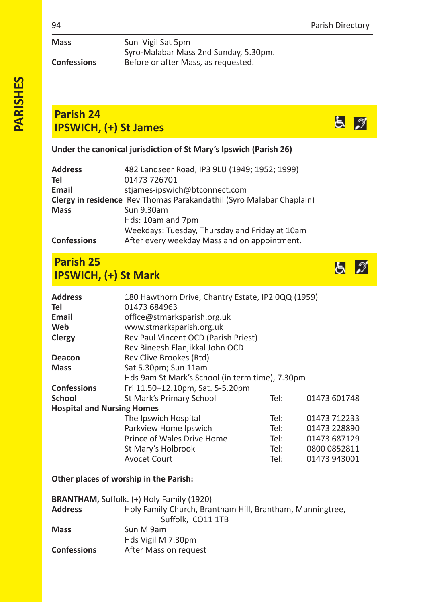| Mass               | Sun Vigil Sat 5pm                     |
|--------------------|---------------------------------------|
|                    | Syro-Malabar Mass 2nd Sunday, 5.30pm. |
| <b>Confessions</b> | Before or after Mass, as requested.   |

# **Parish 24 IPSWICH, (+) St James**

**Under the canonical jurisdiction of St Mary's Ipswich (Parish 26)**

| Address            | 482 Landseer Road, IP3 9LU (1949; 1952; 1999)                        |
|--------------------|----------------------------------------------------------------------|
| Tel                | 01473 726701                                                         |
| Email              | stjames-ipswich@btconnect.com                                        |
|                    | Clergy in residence Rev Thomas Parakandathil (Syro Malabar Chaplain) |
| Mass               | Sun 9.30am                                                           |
|                    | Hds: 10am and 7pm                                                    |
|                    | Weekdays: Tuesday, Thursday and Friday at 10am                       |
| <b>Confessions</b> | After every weekday Mass and on appointment.                         |

# **Parish 25 IPSWICH, (+) St Mark**

| <b>Address</b>                    | 180 Hawthorn Drive, Chantry Estate, IP2 0QQ (1959) |      |              |  |
|-----------------------------------|----------------------------------------------------|------|--------------|--|
| Tel                               | 01473 684963                                       |      |              |  |
| Email                             | office@stmarksparish.org.uk                        |      |              |  |
| Web                               | www.stmarksparish.org.uk                           |      |              |  |
| Clergy                            | Rev Paul Vincent OCD (Parish Priest)               |      |              |  |
|                                   | Rev Bineesh Elanjikkal John OCD                    |      |              |  |
| Deacon                            | Rev Clive Brookes (Rtd)                            |      |              |  |
| <b>Mass</b>                       | Sat 5.30pm; Sun 11am                               |      |              |  |
|                                   | Hds 9am St Mark's School (in term time), 7.30pm    |      |              |  |
| <b>Confessions</b>                | Fri 11.50-12.10pm, Sat. 5-5.20pm                   |      |              |  |
| <b>School</b>                     | St Mark's Primary School<br>01473 601748<br>Tel:   |      |              |  |
| <b>Hospital and Nursing Homes</b> |                                                    |      |              |  |
|                                   | The Ipswich Hospital                               | Tel: | 01473 712233 |  |
|                                   | Parkview Home Ipswich                              | Tel: | 01473 228890 |  |
|                                   | Prince of Wales Drive Home                         | Tel: | 01473 687129 |  |
|                                   | St Mary's Holbrook                                 | Tel: | 0800 0852811 |  |
|                                   | <b>Avocet Court</b>                                | Tel: | 01473 943001 |  |

## **Other places of worship in the Parish:**

|                    | <b>BRANTHAM, Suffolk.</b> (+) Holy Family (1920)          |
|--------------------|-----------------------------------------------------------|
| <b>Address</b>     | Holy Family Church, Brantham Hill, Brantham, Manningtree, |
|                    | Suffolk, CO11 1TB                                         |
| <b>Mass</b>        | Sun M 9am                                                 |
|                    | Hds Vigil M 7.30pm                                        |
| <b>Confessions</b> | After Mass on request                                     |

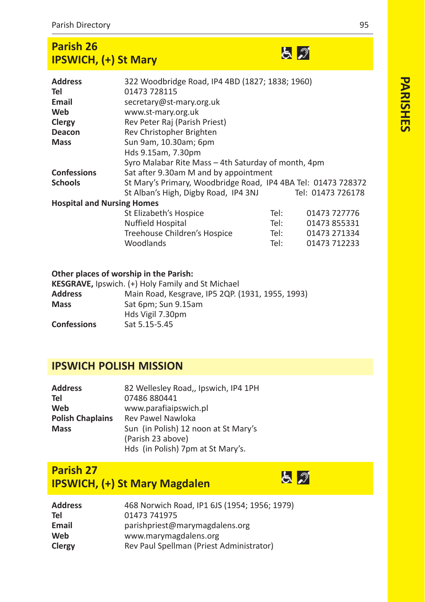# **Parish 26 IPSWICH, (+) St Mary**

| <b>Address</b>                    | 322 Woodbridge Road, IP4 4BD (1827; 1838; 1960)     |                                                               |                   |  |  |
|-----------------------------------|-----------------------------------------------------|---------------------------------------------------------------|-------------------|--|--|
| Tel                               | 01473 728115                                        |                                                               |                   |  |  |
| Email                             | secretary@st-mary.org.uk                            |                                                               |                   |  |  |
| Web                               | www.st-mary.org.uk                                  |                                                               |                   |  |  |
| Clergy                            | Rev Peter Raj (Parish Priest)                       |                                                               |                   |  |  |
| Deacon                            | Rev Christopher Brighten                            |                                                               |                   |  |  |
| Mass                              | Sun 9am, 10.30am; 6pm                               |                                                               |                   |  |  |
|                                   | Hds 9.15am, 7.30pm                                  |                                                               |                   |  |  |
|                                   | Syro Malabar Rite Mass – 4th Saturday of month, 4pm |                                                               |                   |  |  |
| Confessions                       |                                                     | Sat after 9.30am M and by appointment                         |                   |  |  |
| Schools                           |                                                     | St Mary's Primary, Woodbridge Road, IP4 4BA Tel: 01473 728372 |                   |  |  |
|                                   | St Alban's High, Digby Road, IP4 3NJ                |                                                               | Tel: 01473 726178 |  |  |
| <b>Hospital and Nursing Homes</b> |                                                     |                                                               |                   |  |  |
|                                   | St Elizabeth's Hospice                              | Tel:                                                          | 01473 727776      |  |  |
|                                   | Nuffield Hospital                                   | Tel:                                                          | 01473 855331      |  |  |
|                                   | Treehouse Children's Hospice                        | Tel:                                                          | 01473 271334      |  |  |
|                                   | Woodlands                                           | Tel:                                                          | 01473 712233      |  |  |

## **Other places of worship in the Parish:**

| KESGRAVE, Ipswich. (+) Holy Family and St Michael |
|---------------------------------------------------|
| Main Road, Kesgrave, IP5 2QP. (1931, 1955, 1993)  |
| Sat 6pm; Sun 9.15am                               |
| Hds Vigil 7.30pm                                  |
| Sat 5.15-5.45                                     |
|                                                   |

# **IPSWICH POLISH MISSION**

| <b>Address</b>          | 82 Wellesley Road,, Ipswich, IP4 1PH |
|-------------------------|--------------------------------------|
| Tel                     | 07486 880441                         |
| Web                     | www.parafiaipswich.pl                |
| <b>Polish Chaplains</b> | Rev Pawel Nawloka                    |
| <b>Mass</b>             | Sun (in Polish) 12 noon at St Mary's |
|                         | (Parish 23 above)                    |
|                         | Hds (in Polish) 7pm at St Mary's.    |

# **Parish 27 IPSWICH, (+) St Mary Magdalen**



| <b>Address</b> | 468 Norwich Road, IP1 6JS (1954; 1956; 1979) |
|----------------|----------------------------------------------|
| Tel            | 01473 741975                                 |
| Email          | parishpriest@marymagdalens.org               |
| Web            | www.marymagdalens.org                        |
| Clergy         | Rev Paul Spellman (Priest Administrator)     |

<u>६ व</u>

PARISHES **PARISHES**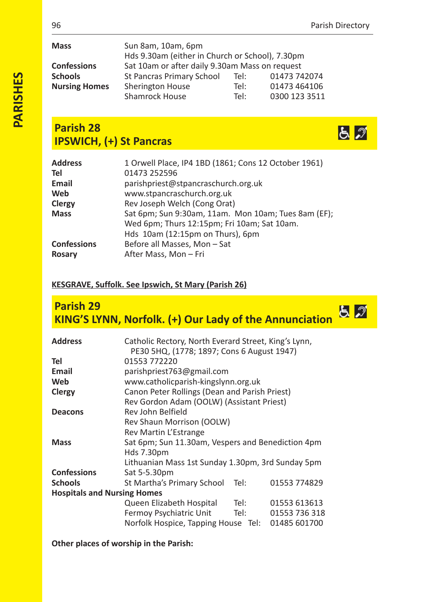| <b>Mass</b>          | Sun 8am, 10am, 6pm                                |      |               |  |
|----------------------|---------------------------------------------------|------|---------------|--|
|                      | Hds 9.30am (either in Church or School), 7.30pm   |      |               |  |
| <b>Confessions</b>   | Sat 10am or after daily 9.30am Mass on request    |      |               |  |
| <b>Schools</b>       | 01473 742074<br>St Pancras Primary School<br>Tel: |      |               |  |
| <b>Nursing Homes</b> | Sherington House                                  | Tel: | 01473 464106  |  |
|                      | Shamrock House                                    | Tel: | 0300 123 3511 |  |

# **Parish 28 IPSWICH, (+) St Pancras**



| <b>Address</b><br>Tel        | 1 Orwell Place, IP4 1BD (1861; Cons 12 October 1961)<br>01473 252596                                                                   |
|------------------------------|----------------------------------------------------------------------------------------------------------------------------------------|
| Email                        | parishpriest@stpancraschurch.org.uk                                                                                                    |
| Web                          | www.stpancraschurch.org.uk                                                                                                             |
| Clergy                       | Rev Joseph Welch (Cong Orat)                                                                                                           |
| <b>Mass</b>                  | Sat 6pm; Sun 9:30am, 11am. Mon 10am; Tues 8am (EF);<br>Wed 6pm; Thurs 12:15pm; Fri 10am; Sat 10am.<br>Hds 10am (12:15pm on Thurs), 6pm |
| <b>Confessions</b><br>Rosary | Before all Masses, Mon-Sat<br>After Mass, Mon - Fri                                                                                    |

## **KESGRAVE, Suffolk. See Ipswich, St Mary (Parish 26)**

# **Parish 29 KING'S LYNN, Norfolk. (+) Our Lady of the Annunciation**

| <b>Address</b>                     | Catholic Rectory, North Everard Street, King's Lynn,<br>PE30 5HQ, (1778; 1897; Cons 6 August 1947) |      |               |  |
|------------------------------------|----------------------------------------------------------------------------------------------------|------|---------------|--|
| Tel                                | 01553 772220                                                                                       |      |               |  |
| <b>Email</b>                       | parishpriest763@gmail.com                                                                          |      |               |  |
| Web                                | www.catholicparish-kingslynn.org.uk                                                                |      |               |  |
| Clergy                             | Canon Peter Rollings (Dean and Parish Priest)                                                      |      |               |  |
|                                    | Rev Gordon Adam (OOLW) (Assistant Priest)                                                          |      |               |  |
| <b>Deacons</b>                     | Rev John Belfield                                                                                  |      |               |  |
|                                    | Rev Shaun Morrison (OOLW)                                                                          |      |               |  |
|                                    | Rev Martin L'Estrange                                                                              |      |               |  |
| <b>Mass</b>                        | Sat 6pm; Sun 11.30am, Vespers and Benediction 4pm                                                  |      |               |  |
|                                    | Hds 7.30pm                                                                                         |      |               |  |
|                                    | Lithuanian Mass 1st Sunday 1.30pm, 3rd Sunday 5pm                                                  |      |               |  |
| <b>Confessions</b>                 | Sat 5-5.30pm                                                                                       |      |               |  |
| <b>Schools</b>                     | St Martha's Primary School                                                                         | Tel: | 01553 774829  |  |
| <b>Hospitals and Nursing Homes</b> |                                                                                                    |      |               |  |
|                                    | Queen Elizabeth Hospital                                                                           | Tel: | 01553 613613  |  |
|                                    | Fermoy Psychiatric Unit                                                                            | Tel: | 01553 736 318 |  |
|                                    | Norfolk Hospice, Tapping House Tel:                                                                |      | 01485 601700  |  |

**Other places of worship in the Parish:**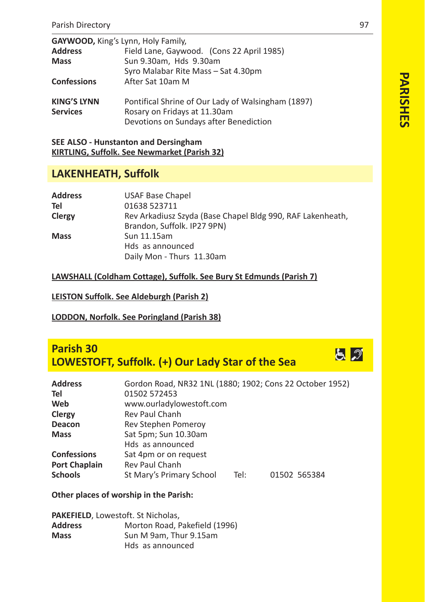| GAYWOOD, King's Lynn, Holy Family,    |                                                                                                                              |
|---------------------------------------|------------------------------------------------------------------------------------------------------------------------------|
| <b>Address</b>                        | Field Lane, Gaywood. (Cons 22 April 1985)                                                                                    |
| <b>Mass</b>                           | Sun 9.30am, Hds 9.30am                                                                                                       |
|                                       | Syro Malabar Rite Mass - Sat 4.30pm                                                                                          |
| <b>Confessions</b>                    | After Sat 10am M                                                                                                             |
| <b>KING'S LYNN</b><br><b>Services</b> | Pontifical Shrine of Our Lady of Walsingham (1897)<br>Rosary on Fridays at 11.30am<br>Devotions on Sundays after Benediction |

## **SEE ALSO Hunstanton and Dersingham KIRTLING, Suffolk. See Newmarket (Parish 32)**

## **LAKENHEATH, Suffolk**

| <b>Address</b> | <b>USAF Base Chapel</b>                                    |
|----------------|------------------------------------------------------------|
| Tel            | 01638 523711                                               |
| Clergy         | Rev Arkadiusz Szyda (Base Chapel Bldg 990, RAF Lakenheath, |
|                | Brandon, Suffolk. IP27 9PN)                                |
| <b>Mass</b>    | Sun 11.15am                                                |
|                | Hds as announced                                           |
|                | Daily Mon - Thurs 11.30am                                  |

## **LAWSHALL (Coldham Cottage), Suffolk. See Bury St Edmunds (Parish 7)**

**LEISTON Suffolk. See Aldeburgh (Parish 2)**

## **LODDON, Norfolk. See Poringland (Parish 38)**

# **Parish 30 LOWESTOFT, Suffolk. (+) Our Lady Star of the Sea**

| <b>Address</b>       | Gordon Road, NR32 1NL (1880; 1902; Cons 22 October 1952) |      |              |  |  |  |
|----------------------|----------------------------------------------------------|------|--------------|--|--|--|
| Tel                  | 01502 572453                                             |      |              |  |  |  |
| Web                  | www.ourladylowestoft.com                                 |      |              |  |  |  |
| Clergy               | <b>Rev Paul Chanh</b>                                    |      |              |  |  |  |
| Deacon               | Rev Stephen Pomeroy                                      |      |              |  |  |  |
| <b>Mass</b>          | Sat 5pm; Sun 10.30am                                     |      |              |  |  |  |
|                      | Hds as announced                                         |      |              |  |  |  |
| <b>Confessions</b>   | Sat 4pm or on request                                    |      |              |  |  |  |
| <b>Port Chaplain</b> | <b>Rev Paul Chanh</b>                                    |      |              |  |  |  |
| <b>Schools</b>       | St Mary's Primary School                                 | Tel: | 01502 565384 |  |  |  |
|                      |                                                          |      |              |  |  |  |

### **Other places of worship in the Parish:**

| <b>PAKEFIELD, Lowestoft. St Nicholas,</b> |                               |  |  |
|-------------------------------------------|-------------------------------|--|--|
| <b>Address</b>                            | Morton Road, Pakefield (1996) |  |  |
| <b>Mass</b>                               | Sun M 9am. Thur 9.15am        |  |  |
|                                           | Hds as announced              |  |  |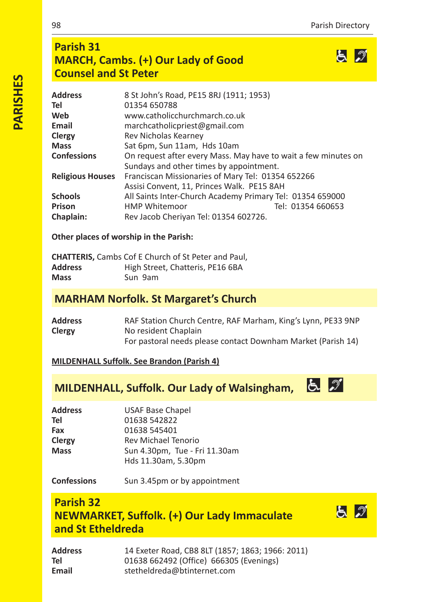とづ

と プ

# **Parish 31 MARCH, Cambs. (+) Our Lady of Good Counsel and St Peter**

| Address                 | 8 St John's Road, PE15 8RJ (1911; 1953)                        |                   |
|-------------------------|----------------------------------------------------------------|-------------------|
| Tel                     | 01354 650788                                                   |                   |
| Web                     | www.catholicchurchmarch.co.uk                                  |                   |
| Email                   | marchcatholicpriest@gmail.com                                  |                   |
| Clergy                  | Rev Nicholas Kearney                                           |                   |
| Mass                    | Sat 6pm, Sun 11am, Hds 10am                                    |                   |
| <b>Confessions</b>      | On request after every Mass. May have to wait a few minutes on |                   |
|                         | Sundays and other times by appointment.                        |                   |
| <b>Religious Houses</b> | Franciscan Missionaries of Mary Tel: 01354 652266              |                   |
|                         | Assisi Convent, 11, Princes Walk. PE15 8AH                     |                   |
| Schools                 | All Saints Inter-Church Academy Primary Tel: 01354 659000      |                   |
| Prison                  | <b>HMP Whitemoor</b>                                           | Tel: 01354 660653 |
| Chaplain:               | Rev Jacob Cheriyan Tel: 01354 602726.                          |                   |
|                         |                                                                |                   |

**Other places of worship in the Parish:**

|                | <b>CHATTERIS.</b> Cambs Cof E Church of St Peter and Paul. |
|----------------|------------------------------------------------------------|
| <b>Address</b> | High Street, Chatteris, PE16 6BA                           |
| <b>Mass</b>    | Sun 9am                                                    |

## **MARHAM Norfolk. St Margaret's Church**

| Address | RAF Station Church Centre, RAF Marham, King's Lynn, PE33 9NP |
|---------|--------------------------------------------------------------|
| Clergy  | No resident Chaplain                                         |
|         | For pastoral needs please contact Downham Market (Parish 14) |

**MILDENHALL Suffolk. See Brandon (Parish 4)**

# **MILDENHALL, Suffolk. Our Lady of Walsingham, 6**

| Address | <b>USAF Base Chapel</b>       |
|---------|-------------------------------|
| Tel     | 01638 542822                  |
| Fax     | 01638 545401                  |
| Clergy  | Rev Michael Tenorio           |
| Mass    | Sun 4.30pm, Tue - Fri 11.30am |
|         | Hds 11.30am, 5.30pm           |

**Confessions** Sun 3.45pm or by appointment

# **Parish 32 NEWMARKET, Suffolk. (+) Our Lady Immaculate and St Etheldreda**

| Address | 14 Exeter Road, CB8 8LT (1857; 1863; 1966: 2011) |
|---------|--------------------------------------------------|
| Tel     | 01638 662492 (Office) 666305 (Evenings)          |
| Email   | stetheldreda@btinternet.com                      |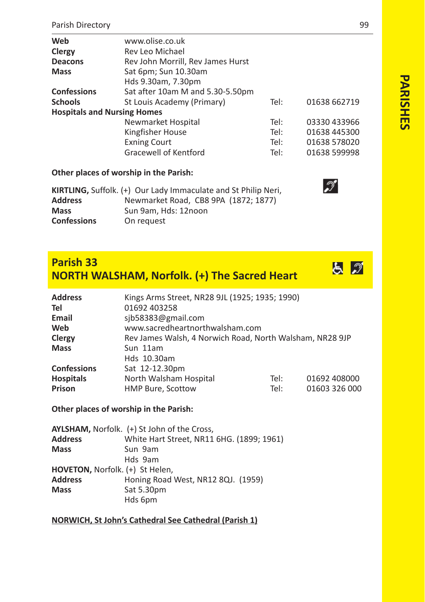| Web                                | www.olise.co.uk                   |      |              |
|------------------------------------|-----------------------------------|------|--------------|
| Clergy                             | Rev Leo Michael                   |      |              |
| <b>Deacons</b>                     | Rev John Morrill, Rev James Hurst |      |              |
| <b>Mass</b>                        | Sat 6pm; Sun 10.30am              |      |              |
|                                    | Hds 9.30am, 7.30pm                |      |              |
| <b>Confessions</b>                 | Sat after 10am M and 5.30-5.50pm  |      |              |
| <b>Schools</b>                     | St Louis Academy (Primary)        | Tel: | 01638 662719 |
| <b>Hospitals and Nursing Homes</b> |                                   |      |              |
|                                    | Newmarket Hospital                | Tel: | 03330 433966 |
|                                    | Kingfisher House                  | Tel: | 01638 445300 |
|                                    | <b>Exning Court</b>               | Tel: | 01638 578020 |
|                                    | Gracewell of Kentford             | Tel: | 01638 599998 |

## **Other places of worship in the Parish:**

| KIRTLING, Suffolk. (+) Our Lady Immaculate and St Philip Neri, |                                      |  |
|----------------------------------------------------------------|--------------------------------------|--|
| <b>Address</b>                                                 | Newmarket Road, CB8 9PA (1872; 1877) |  |
| <b>Mass</b>                                                    | Sun 9am. Hds: 12noon                 |  |
| <b>Confessions</b>                                             | On request                           |  |

# **Parish 33 NORTH WALSHAM, Norfolk. (+) The Sacred Heart**

| 01692 403258                    |      |                                                                                                            |
|---------------------------------|------|------------------------------------------------------------------------------------------------------------|
| sib58383@gmail.com              |      |                                                                                                            |
| www.sacredheartnorthwalsham.com |      |                                                                                                            |
|                                 |      |                                                                                                            |
| Sun 11am                        |      |                                                                                                            |
| Hds 10.30am                     |      |                                                                                                            |
| Sat 12-12.30pm                  |      |                                                                                                            |
| North Walsham Hospital          | Tel: | 01692 408000                                                                                               |
| <b>HMP Bure, Scottow</b>        | Tel: | 01603 326 000                                                                                              |
|                                 |      | Kings Arms Street, NR28 9JL (1925; 1935; 1990)<br>Rev James Walsh, 4 Norwich Road, North Walsham, NR28 9JP |

**Other places of worship in the Parish:**

|                                 | AYLSHAM, Norfolk. (+) St John of the Cross, |
|---------------------------------|---------------------------------------------|
| <b>Address</b>                  | White Hart Street, NR11 6HG. (1899; 1961)   |
| <b>Mass</b>                     | Sun 9am                                     |
|                                 | Hds 9am                                     |
| HOVETON, Norfolk. (+) St Helen, |                                             |
| <b>Address</b>                  | Honing Road West, NR12 8QJ. (1959)          |
| <b>Mass</b>                     | Sat 5.30pm                                  |
|                                 | Hds 6pm                                     |
|                                 |                                             |

#### **NORWICH, St John's Cathedral See Cathedral (Parish 1)**

PARISHES **PARISHES**



 $\mathscr{D}$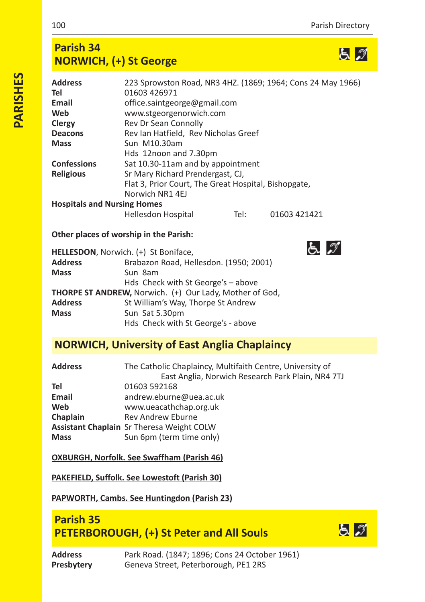と グ

 $52$ 

# **Parish 34 NORWICH, (+) St George**

| <b>Address</b>                     | 223 Sprowston Road, NR3 4HZ. (1869; 1964; Cons 24 May 1966) |      |              |  |
|------------------------------------|-------------------------------------------------------------|------|--------------|--|
| Tel                                | 01603 426971                                                |      |              |  |
| Email                              | office.saintgeorge@gmail.com                                |      |              |  |
| Web                                | www.stgeorgenorwich.com                                     |      |              |  |
| Clergy                             | Rev Dr Sean Connolly                                        |      |              |  |
| <b>Deacons</b>                     | Rev Ian Hatfield, Rev Nicholas Greef                        |      |              |  |
| <b>Mass</b>                        | Sun M10.30am                                                |      |              |  |
|                                    | Hds 12noon and 7.30pm                                       |      |              |  |
| <b>Confessions</b>                 | Sat 10.30-11am and by appointment                           |      |              |  |
| <b>Religious</b>                   | Sr Mary Richard Prendergast, CJ,                            |      |              |  |
|                                    | Flat 3, Prior Court, The Great Hospital, Bishopgate,        |      |              |  |
|                                    | Norwich NR1 4EJ                                             |      |              |  |
| <b>Hospitals and Nursing Homes</b> |                                                             |      |              |  |
|                                    | <b>Hellesdon Hospital</b>                                   | Tel: | 01603 421421 |  |

## **Other places of worship in the Parish:**

|                | HELLESDON, Norwich. (+) St Boniface,                    |
|----------------|---------------------------------------------------------|
| <b>Address</b> | Brabazon Road, Hellesdon. (1950; 2001)                  |
| <b>Mass</b>    | Sun 8am                                                 |
|                | Hds Check with St George's - above                      |
|                | THORPE ST ANDREW, Norwich. (+) Our Lady, Mother of God, |
| <b>Address</b> | St William's Way, Thorpe St Andrew                      |
| <b>Mass</b>    | Sun Sat 5.30pm                                          |
|                | Hds Check with St George's - above                      |

## **NORWICH, University of East Anglia Chaplaincy**

| <b>Address</b> | The Catholic Chaplaincy, Multifaith Centre, University of<br>East Anglia, Norwich Research Park Plain, NR4 7TJ |
|----------------|----------------------------------------------------------------------------------------------------------------|
| Tel            | 01603 592168                                                                                                   |
| Email          | andrew.eburne@uea.ac.uk                                                                                        |
| Web            | www.ueacathchap.org.uk                                                                                         |
| Chaplain       | <b>Rev Andrew Eburne</b>                                                                                       |
|                | <b>Assistant Chaplain</b> Sr Theresa Weight COLW                                                               |
| <b>Mass</b>    | Sun 6pm (term time only)                                                                                       |

## **OXBURGH, Norfolk. See Swaffham (Parish 46)**

## **PAKEFIELD, Suffolk. See Lowestoft (Parish 30)**

## **PAPWORTH, Cambs. See Huntingdon (Parish 23)**

## **Parish 35 PETERBOROUGH, (+) St Peter and All Souls**

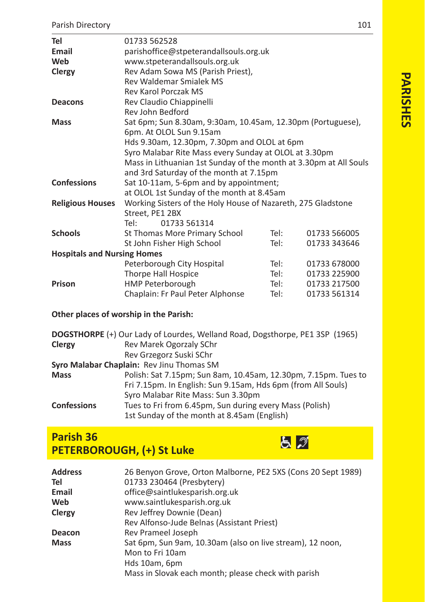| Tel                                | 01733 562528                                                      |      |              |
|------------------------------------|-------------------------------------------------------------------|------|--------------|
| Email                              | parishoffice@stpeterandallsouls.org.uk                            |      |              |
| Web                                | www.stpeterandallsouls.org.uk                                     |      |              |
| Clergy                             | Rev Adam Sowa MS (Parish Priest),                                 |      |              |
|                                    | <b>Rev Waldemar Smialek MS</b>                                    |      |              |
|                                    | Rev Karol Porczak MS                                              |      |              |
| Deacons                            | Rev Claudio Chiappinelli                                          |      |              |
|                                    | Rev John Bedford                                                  |      |              |
| <b>Mass</b>                        | Sat 6pm; Sun 8.30am, 9:30am, 10.45am, 12.30pm (Portuguese),       |      |              |
|                                    | 6pm. At OLOL Sun 9.15am                                           |      |              |
|                                    | Hds 9.30am, 12.30pm, 7.30pm and OLOL at 6pm                       |      |              |
|                                    | Syro Malabar Rite Mass every Sunday at OLOL at 3.30pm             |      |              |
|                                    | Mass in Lithuanian 1st Sunday of the month at 3.30pm at All Souls |      |              |
|                                    | and 3rd Saturday of the month at 7.15pm                           |      |              |
| <b>Confessions</b>                 | Sat 10-11am, 5-6pm and by appointment;                            |      |              |
|                                    | at OLOL 1st Sunday of the month at 8.45am                         |      |              |
| <b>Religious Houses</b>            | Working Sisters of the Holy House of Nazareth, 275 Gladstone      |      |              |
|                                    | Street, PE1 2BX                                                   |      |              |
|                                    | Tel:<br>01733 561314                                              |      |              |
| <b>Schools</b>                     | St Thomas More Primary School                                     | Tel: | 01733 566005 |
|                                    | St John Fisher High School                                        | Tel: | 01733 343646 |
| <b>Hospitals and Nursing Homes</b> |                                                                   |      |              |
|                                    | Peterborough City Hospital                                        | Tel: | 01733 678000 |
|                                    | <b>Thorpe Hall Hospice</b>                                        | Tel: | 01733 225900 |
| Prison                             | HMP Peterborough                                                  | Tel: | 01733 217500 |
|                                    | Chaplain: Fr Paul Peter Alphonse                                  | Tel: | 01733 561314 |

## **Other places of worship in the Parish:**

|                    | DOGSTHORPE (+) Our Lady of Lourdes, Welland Road, Dogsthorpe, PE1 3SP (1965) |
|--------------------|------------------------------------------------------------------------------|
| Clergy             | Rev Marek Ogorzaly SChr                                                      |
|                    | Rev Grzegorz Suski SChr                                                      |
|                    | Syro Malabar Chaplain: Rev Jinu Thomas SM                                    |
| <b>Mass</b>        | Polish: Sat 7.15pm; Sun 8am, 10.45am, 12.30pm, 7.15pm. Tues to               |
|                    | Fri 7.15pm. In English: Sun 9.15am, Hds 6pm (from All Souls)                 |
|                    | Syro Malabar Rite Mass: Sun 3.30pm                                           |
| <b>Confessions</b> | Tues to Fri from 6.45pm, Sun during every Mass (Polish)                      |
|                    | 1st Sunday of the month at 8.45am (English)                                  |

# **Parish 36 PETERBOROUGH, (+) St Luke**



| <b>Address</b><br>Tel<br>Email | 26 Benyon Grove, Orton Malborne, PE2 5XS (Cons 20 Sept 1989)<br>01733 230464 (Presbytery)<br>office@saintlukesparish.org.uk |
|--------------------------------|-----------------------------------------------------------------------------------------------------------------------------|
|                                |                                                                                                                             |
| Web                            | www.saintlukesparish.org.uk                                                                                                 |
| Clergy                         | Rev Jeffrey Downie (Dean)                                                                                                   |
|                                | Rev Alfonso-Jude Belnas (Assistant Priest)                                                                                  |
| Deacon                         | Rev Prameel Joseph                                                                                                          |
| <b>Mass</b>                    | Sat 6pm, Sun 9am, 10.30am (also on live stream), 12 noon,                                                                   |
|                                | Mon to Fri 10am                                                                                                             |
|                                | Hds 10am, 6pm                                                                                                               |
|                                | Mass in Slovak each month; please check with parish                                                                         |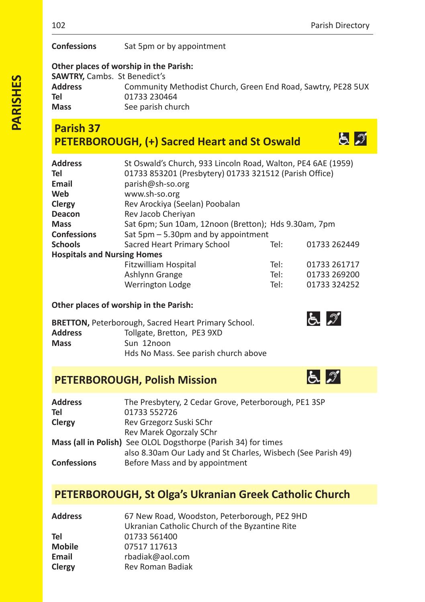とが

**Confessions** Sat 5pm or by appointment

## **Other places of worship in the Parish:**

**SAWTRY, Cambs. St Benedict's<br>
<b>Address** Community **Address** Community Methodist Church, Green End Road, Sawtry, PE28 5UX **Tel** 01733 230464<br> **Mass** See parish chu **Mass** See parish church

# **Parish 37 PETERBOROUGH, (+) Sacred Heart and St Oswald**

| <b>Address</b>                     | St Oswald's Church, 933 Lincoln Road, Walton, PE4 6AE (1959) |      |              |
|------------------------------------|--------------------------------------------------------------|------|--------------|
| Tel                                | 01733 853201 (Presbytery) 01733 321512 (Parish Office)       |      |              |
| Email                              | parish@sh-so.org                                             |      |              |
| Web                                | www.sh-so.org                                                |      |              |
| Clergy                             | Rev Arockiya (Seelan) Poobalan                               |      |              |
| Deacon                             | Rev Jacob Cheriyan                                           |      |              |
| <b>Mass</b>                        | Sat 6pm; Sun 10am, 12noon (Bretton); Hds 9.30am, 7pm         |      |              |
| <b>Confessions</b>                 | Sat $5$ pm $-5.30$ pm and by appointment                     |      |              |
| <b>Schools</b>                     | Sacred Heart Primary School                                  | Tel: | 01733 262449 |
| <b>Hospitals and Nursing Homes</b> |                                                              |      |              |
|                                    | Fitzwilliam Hospital                                         | Tel: | 01733 261717 |
|                                    | Ashlynn Grange                                               | Tel: | 01733 269200 |
|                                    | Werrington Lodge                                             | Tel: | 01733 324252 |
|                                    |                                                              |      |              |

## **Other places of worship in the Parish:**

|                | <b>BRETTON, Peterborough, Sacred Heart Primary School.</b> |
|----------------|------------------------------------------------------------|
| <b>Address</b> | Tollgate, Bretton, PE3 9XD                                 |
| <b>Mass</b>    | Sun 12noon                                                 |
|                | Hds No Mass. See parish church above                       |

# **PETERBOROUGH, Polish Mission**

| <b>Address</b>     | The Presbytery, 2 Cedar Grove, Peterborough, PE1 3SP           |
|--------------------|----------------------------------------------------------------|
| Tel                | 01733 552726                                                   |
| Clergy             | Rev Grzegorz Suski SChr                                        |
|                    | Rev Marek Ogorzaly SChr                                        |
|                    | Mass (all in Polish) See OLOL Dogsthorpe (Parish 34) for times |
|                    | also 8.30am Our Lady and St Charles, Wisbech (See Parish 49)   |
| <b>Confessions</b> | Before Mass and by appointment                                 |

# **PETERBOROUGH, St Olga's Ukranian Greek Catholic Church**

| <b>Address</b> | 67 New Road, Woodston, Peterborough, PE2 9HD   |
|----------------|------------------------------------------------|
|                | Ukranian Catholic Church of the Byzantine Rite |
| Tel            | 01733 561400                                   |
| <b>Mobile</b>  | 07517 117613                                   |
| Email          | rbadiak@aol.com                                |
| Clergy         | Rev Roman Badiak                               |

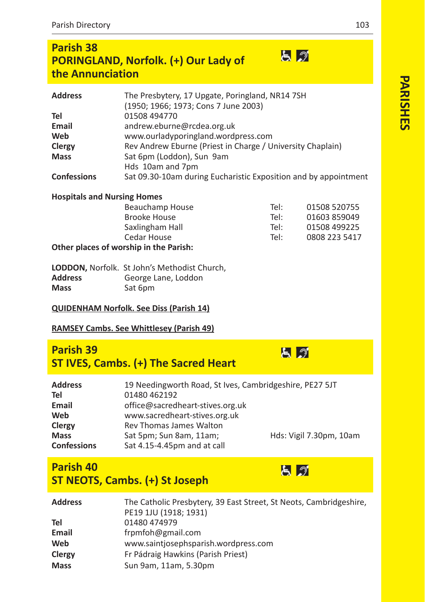## **Parish 38** 日の **PORINGLAND, Norfolk. (+) Our Lady of the Annunciation**

| <b>Address</b>     | The Presbytery, 17 Upgate, Poringland, NR14 7SH                 |
|--------------------|-----------------------------------------------------------------|
|                    | (1950; 1966; 1973; Cons 7 June 2003)                            |
| Tel                | 01508 494770                                                    |
| Email              | andrew.eburne@rcdea.org.uk                                      |
| Web                | www.ourladyporingland.wordpress.com                             |
| Clergy             | Rev Andrew Eburne (Priest in Charge / University Chaplain)      |
| <b>Mass</b>        | Sat 6pm (Loddon), Sun 9am                                       |
|                    | Hds 10am and 7pm                                                |
| <b>Confessions</b> | Sat 09.30-10am during Eucharistic Exposition and by appointment |

#### **Hospitals and Nursing Homes**

| Beauchamp House                        | Tel: | 01508 520755  |
|----------------------------------------|------|---------------|
| <b>Brooke House</b>                    | Tel: | 01603 859049  |
| Saxlingham Hall                        | Tel: | 01508 499225  |
| Cedar House                            | Tel: | 0808 223 5417 |
| Other places of worship in the Parish: |      |               |

|                | LODDON, Norfolk. St John's Methodist Church, |
|----------------|----------------------------------------------|
| <b>Address</b> | George Lane, Loddon                          |
| <b>Mass</b>    | Sat 6pm                                      |

#### **QUIDENHAM Norfolk. See Diss (Parish 14)**

## **RAMSEY Cambs. See Whittlesey (Parish 49)**

## **Parish 39 ST IVES, Cambs. (+) The Sacred Heart**

| <b>Address</b>     | 19 Needingworth Road, St Ives, Cambridgeshire, PE27 5JT |                         |
|--------------------|---------------------------------------------------------|-------------------------|
| Tel                | 01480 462192                                            |                         |
| Email              | office@sacredheart-stives.org.uk                        |                         |
| Web                | www.sacredheart-stives.org.uk                           |                         |
| Clergy             | Rev Thomas James Walton                                 |                         |
| <b>Mass</b>        | Sat 5pm; Sun 8am, 11am;                                 | Hds: Vigil 7.30pm, 10am |
| <b>Confessions</b> | Sat 4.15-4.45pm and at call                             |                         |

# **Parish 40 ST NEOTS, Cambs. (+) St Joseph**

| Address | The Catholic Presbytery, 39 East Street, St Neots, Cambridgeshire,<br>PE19 1JU (1918; 1931) |
|---------|---------------------------------------------------------------------------------------------|
| Tel     | 01480 474979                                                                                |
| Email   | frpmfoh@gmail.com                                                                           |
| Web     | www.saintjosephsparish.wordpress.com                                                        |
| Clergy  | Fr Pádraig Hawkins (Parish Priest)                                                          |
| Mass    | Sun 9am, 11am, 5.30pm                                                                       |
|         |                                                                                             |



日の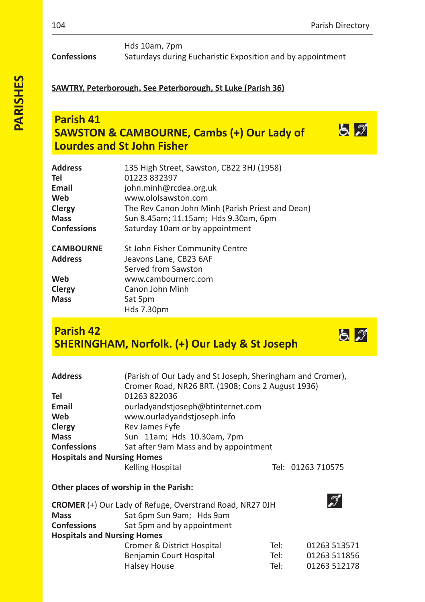とづ

とぶ

## **SAWTRY, Peterborough. See Peterborough, St Luke (Parish 36)**

# **Parish 41 SAWSTON & CAMBOURNE, Cambs (+) Our Lady of Lourdes and St John Fisher**

| <b>Address</b>     | 135 High Street, Sawston, CB22 3HJ (1958)        |
|--------------------|--------------------------------------------------|
| Tel                | 01223 832397                                     |
| Email              | john.minh@rcdea.org.uk                           |
| Web                | www.ololsawston.com                              |
| Clergy             | The Rev Canon John Minh (Parish Priest and Dean) |
| Mass               | Sun 8.45am; 11.15am; Hds 9.30am, 6pm             |
| <b>Confessions</b> | Saturday 10am or by appointment                  |
| <b>CAMBOURNE</b>   | St John Fisher Community Centre                  |
| Address            | Jeavons Lane, CB23 6AF                           |
|                    | Served from Sawston                              |
| Web                | www.cambournerc.com                              |
| Clergy             | Canon John Minh                                  |
| Mass               | Sat 5pm                                          |
|                    | Hds 7.30pm                                       |

# **Parish 42 SHERINGHAM, Norfolk. (+) Our Lady & St Joseph**

| <b>Address</b>                         | (Parish of Our Lady and St Joseph, Sheringham and Cromer),<br>Cromer Road, NR26 8RT. (1908; Cons 2 August 1936) |      |                   |
|----------------------------------------|-----------------------------------------------------------------------------------------------------------------|------|-------------------|
| Tel                                    | 01263 822036                                                                                                    |      |                   |
| Email                                  | ourladyandstjoseph@btinternet.com                                                                               |      |                   |
| Web                                    | www.ourladyandstjoseph.info                                                                                     |      |                   |
| Clergy                                 | Rev James Fyfe                                                                                                  |      |                   |
| <b>Mass</b>                            | Sun 11am; Hds 10.30am, 7pm                                                                                      |      |                   |
| <b>Confessions</b>                     | Sat after 9am Mass and by appointment                                                                           |      |                   |
| <b>Hospitals and Nursing Homes</b>     |                                                                                                                 |      |                   |
|                                        | <b>Kelling Hospital</b>                                                                                         |      | Tel: 01263 710575 |
| Other places of worship in the Parish: |                                                                                                                 |      |                   |
|                                        | <b>CROMER</b> (+) Our Lady of Refuge, Overstrand Road, NR27 OJH                                                 |      |                   |
| <b>Mass</b>                            | Sat 6pm Sun 9am; Hds 9am                                                                                        |      |                   |
| <b>Confessions</b>                     | Sat 5pm and by appointment                                                                                      |      |                   |
| <b>Hospitals and Nursing Homes</b>     |                                                                                                                 |      |                   |
|                                        | Cromer & District Hospital                                                                                      | Tel: | 01263 513571      |

| Cromer & District Hospital | Tel: | 01263 513571 |
|----------------------------|------|--------------|
| Benjamin Court Hospital    | Tel: | 01263 511856 |
| Halsey House               | Tel: | 01263 512178 |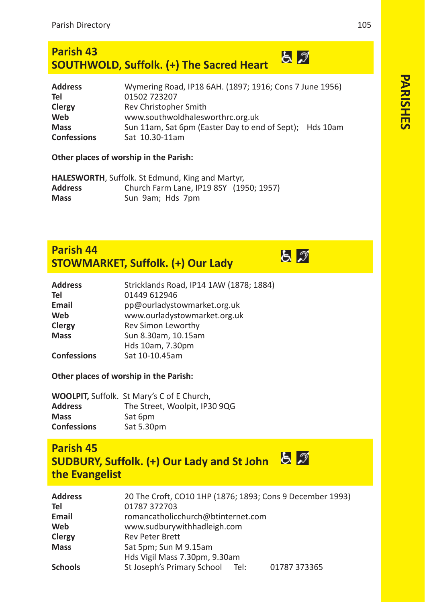#### **Parish 43**  $52$ **SOUTHWOLD, Suffolk. (+) The Sacred Heart**

| <b>Address</b>     | Wymering Road, IP18 6AH. (1897; 1916; Cons 7 June 1956) |  |
|--------------------|---------------------------------------------------------|--|
| Tel                | 01502 723207                                            |  |
| Clergy             | Rev Christopher Smith                                   |  |
| Web                | www.southwoldhalesworthrc.org.uk                        |  |
| <b>Mass</b>        | Sun 11am, Sat 6pm (Easter Day to end of Sept); Hds 10am |  |
| <b>Confessions</b> | Sat 10.30-11am                                          |  |

#### **Other places of worship in the Parish:**

**HALESWORTH**, Suffolk. St Edmund, King and Martyr, **Address** Church Farm Lane, IP19 8SY (1950; 1957) **Mass** Sun 9am; Hds 7pm

## **Parish 44 STOWMARKET, Suffolk. (+) Our Lady**

| <b>Address</b>     | Stricklands Road, IP14 1AW (1878; 1884) |
|--------------------|-----------------------------------------|
| Tel                | 01449 612946                            |
| Email              | pp@ourladystowmarket.org.uk             |
| Web                | www.ourladystowmarket.org.uk            |
| Clergy             | Rev Simon Leworthy                      |
| <b>Mass</b>        | Sun 8.30am, 10.15am                     |
|                    | Hds 10am, 7.30pm                        |
| <b>Confessions</b> | Sat 10-10.45am                          |

## **Other places of worship in the Parish:**

|                    | <b>WOOLPIT, Suffolk. St Mary's C of E Church,</b> |
|--------------------|---------------------------------------------------|
| Address            | The Street, Woolpit, IP30 9QG                     |
| <b>Mass</b>        | Sat 6pm                                           |
| <b>Confessions</b> | Sat 5.30pm                                        |

# **Parish 45 SUDBURY, Suffolk. (+) Our Lady and St John the Evangelist**

| <b>Address</b> | 20 The Croft, CO10 1HP (1876; 1893; Cons 9 December 1993) |
|----------------|-----------------------------------------------------------|
| Tel            | 01787 372703                                              |
| Email          | romancatholicchurch@btinternet.com                        |
| Web            | www.sudburywithhadleigh.com                               |
| Clergy         | <b>Rev Peter Brett</b>                                    |
| <b>Mass</b>    | Sat 5pm; Sun M 9.15am                                     |
|                | Hds Vigil Mass 7.30pm, 9.30am                             |
| <b>Schools</b> | St Joseph's Primary School<br>01787 373365<br>Tel:        |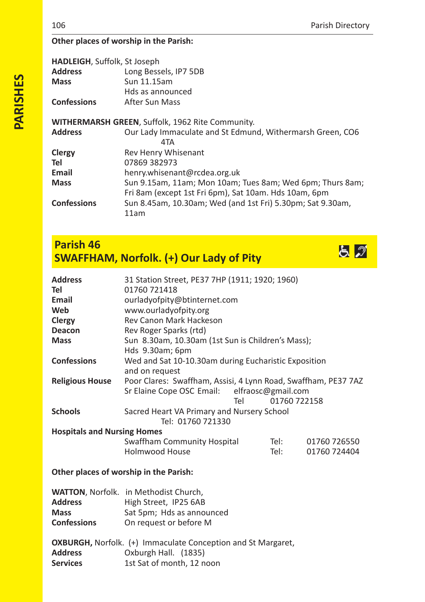## **Other places of worship in the Parish:**

| <b>HADLEIGH, Suffolk, St Joseph</b><br><b>Address</b><br><b>Mass</b> | Long Bessels, IP7 5DB<br>Sun 11.15am<br>Hds as announced           |
|----------------------------------------------------------------------|--------------------------------------------------------------------|
| <b>Confessions</b>                                                   | After Sun Mass                                                     |
|                                                                      | WITHERMARSH GREEN, Suffolk, 1962 Rite Community.                   |
| <b>Address</b>                                                       | Our Lady Immaculate and St Edmund, Withermarsh Green, CO6          |
|                                                                      | 4TA                                                                |
| Clergy                                                               | Rev Henry Whisenant                                                |
| Tel                                                                  | 07869 382973                                                       |
| Email                                                                | henry.whisenant@rcdea.org.uk                                       |
| <b>Mass</b>                                                          | Sun 9.15am, 11am; Mon 10am; Tues 8am; Wed 6pm; Thurs 8am;          |
|                                                                      | Fri 8am (except 1st Fri 6pm), Sat 10am. Hds 10am, 6pm              |
| <b>Confessions</b>                                                   | Sun 8.45am, 10.30am; Wed (and 1st Fri) 5.30pm; Sat 9.30am,<br>11am |
|                                                                      |                                                                    |

# **Parish 46 SWAFFHAM, Norfolk. (+) Our Lady of Pity**



| <b>Address</b>                         | 31 Station Street, PE37 7HP (1911; 1920; 1960)                 |     |              |              |
|----------------------------------------|----------------------------------------------------------------|-----|--------------|--------------|
| Tel                                    | 01760 721418                                                   |     |              |              |
| Email                                  | ourladyofpity@btinternet.com                                   |     |              |              |
| Web                                    | www.ourladyofpity.org                                          |     |              |              |
| Clergy                                 | Rev Canon Mark Hackeson                                        |     |              |              |
| <b>Deacon</b>                          | Rev Roger Sparks (rtd)                                         |     |              |              |
| <b>Mass</b>                            | Sun 8.30am, 10.30am (1st Sun is Children's Mass);              |     |              |              |
|                                        | Hds 9.30am; 6pm                                                |     |              |              |
| <b>Confessions</b>                     | Wed and Sat 10-10.30am during Eucharistic Exposition           |     |              |              |
|                                        | and on request                                                 |     |              |              |
| <b>Religious House</b>                 | Poor Clares: Swaffham, Assisi, 4 Lynn Road, Swaffham, PE37 7AZ |     |              |              |
|                                        | Sr Elaine Cope OSC Email: elfraosc@gmail.com                   |     |              |              |
|                                        |                                                                | Tel | 01760 722158 |              |
| <b>Schools</b>                         | Sacred Heart VA Primary and Nursery School                     |     |              |              |
|                                        | Tel: 01760 721330                                              |     |              |              |
| <b>Hospitals and Nursing Homes</b>     |                                                                |     |              |              |
|                                        | Swaffham Community Hospital                                    |     | Tel:         | 01760 726550 |
|                                        | <b>Holmwood House</b>                                          |     | Tel:         | 01760 724404 |
| Other places of worship in the Parish: |                                                                |     |              |              |
|                                        |                                                                |     |              |              |

# WATTON, Norfolk. in Methodist Church

| <b>WALTON.</b> NOTIOIK. IN METHODIST CHUICH. |
|----------------------------------------------|
| High Street, IP25 6AB                        |
| Sat 5pm; Hds as announced                    |
| On request or before M                       |
|                                              |

|                 | <b>OXBURGH, Norfolk.</b> (+) Immaculate Conception and St Margaret, |
|-----------------|---------------------------------------------------------------------|
| <b>Address</b>  | Oxburgh Hall. (1835)                                                |
| <b>Services</b> | 1st Sat of month, 12 noon                                           |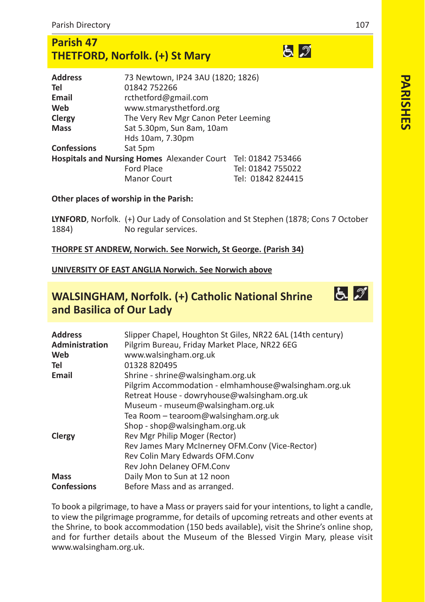# **Parish 47 THETFORD, Norfolk. (+) St Mary**

| <b>Address</b>                                                | 73 Newtown, IP24 3AU (1820; 1826)    |                   |
|---------------------------------------------------------------|--------------------------------------|-------------------|
| Tel                                                           | 01842 752266                         |                   |
| Email                                                         | rcthetford@gmail.com                 |                   |
| Web                                                           | www.stmarysthetford.org              |                   |
| Clergy                                                        | The Very Rev Mgr Canon Peter Leeming |                   |
| <b>Mass</b>                                                   | Sat 5.30pm, Sun 8am, 10am            |                   |
|                                                               | Hds 10am, 7.30pm                     |                   |
| <b>Confessions</b>                                            | Sat 5pm                              |                   |
| Hospitals and Nursing Homes Alexander Court Tel: 01842 753466 |                                      |                   |
|                                                               | <b>Ford Place</b>                    | Tel: 01842 755022 |
|                                                               | <b>Manor Court</b>                   | Tel: 01842 824415 |
|                                                               |                                      |                   |

#### **Other places of worship in the Parish:**

**LYNFORD**, Norfolk. (+) Our Lady of Consolation and St Stephen (1878; Cons 7 October No regular services.

#### **THORPE ST ANDREW, Norwich. See Norwich, St George. (Parish 34)**

#### **UNIVERSITY OF EAST ANGLIA Norwich. See Norwich above**

## **WALSINGHAM, Norfolk. (+) Catholic National Shrine and Basilica of Our Lady**



To book a pilgrimage, to have a Mass or prayers said for your intentions, to light a candle, to view the pilgrimage programme, for details of upcoming retreats and other events at the Shrine, to book accommodation (150 beds available), visit the Shrine's online shop, and for further details about the Museum of the Blessed Virgin Mary, please visit www.walsingham.org.uk.

とっ

とっ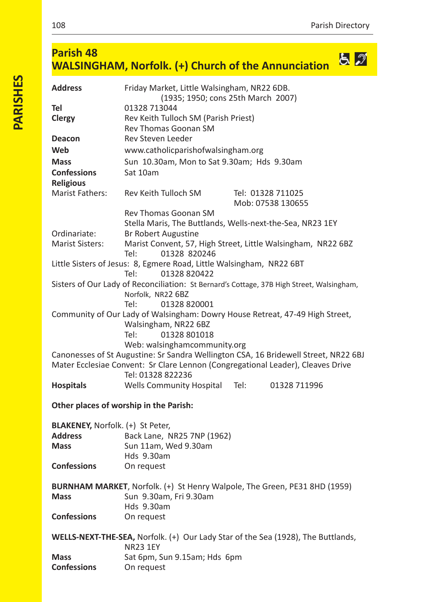#### **Parish 48** <u>ර් ව</u> **WALSINGHAM, Norfolk. (+) Church of the Annunciation**

| <b>Address</b>                          | Friday Market, Little Walsingham, NR22 6DB.<br>(1935; 1950; cons 25th March 2007)                                                                                                           |  |  |
|-----------------------------------------|---------------------------------------------------------------------------------------------------------------------------------------------------------------------------------------------|--|--|
| Tel                                     | 01328 713044                                                                                                                                                                                |  |  |
| Clergy                                  | Rev Keith Tulloch SM (Parish Priest)<br>Rev Thomas Goonan SM                                                                                                                                |  |  |
| <b>Deacon</b>                           | Rev Steven Leeder                                                                                                                                                                           |  |  |
| Web                                     | www.catholicparishofwalsingham.org                                                                                                                                                          |  |  |
| <b>Mass</b>                             | Sun 10.30am, Mon to Sat 9.30am; Hds 9.30am                                                                                                                                                  |  |  |
| <b>Confessions</b><br><b>Religious</b>  | Sat 10am                                                                                                                                                                                    |  |  |
| Marist Fathers:                         | Rev Keith Tulloch SM<br>Tel: 01328 711025<br>Mob: 07538 130655                                                                                                                              |  |  |
|                                         | Rev Thomas Goonan SM                                                                                                                                                                        |  |  |
|                                         | Stella Maris, The Buttlands, Wells-next-the-Sea, NR23 1EY                                                                                                                                   |  |  |
| Ordinariate:                            | <b>Br Robert Augustine</b>                                                                                                                                                                  |  |  |
| <b>Marist Sisters:</b>                  | Marist Convent, 57, High Street, Little Walsingham, NR22 6BZ<br>Tel:<br>01328 820246                                                                                                        |  |  |
|                                         | Little Sisters of Jesus: 8, Egmere Road, Little Walsingham, NR22 6BT<br>Tel:<br>01328 820422                                                                                                |  |  |
|                                         | Sisters of Our Lady of Reconciliation: St Bernard's Cottage, 37B High Street, Walsingham,<br>Norfolk, NR22 6BZ<br>Tel:<br>01328 820001                                                      |  |  |
|                                         | Community of Our Lady of Walsingham: Dowry House Retreat, 47-49 High Street,<br>Walsingham, NR22 6BZ<br>01328 801018<br>Tel:<br>Web: walsinghamcommunity.org                                |  |  |
|                                         | Canonesses of St Augustine: Sr Sandra Wellington CSA, 16 Bridewell Street, NR22 6BJ<br>Mater Ecclesiae Convent: Sr Clare Lennon (Congregational Leader), Cleaves Drive<br>Tel: 01328 822236 |  |  |
| <b>Hospitals</b>                        | <b>Wells Community Hospital</b><br>Tel:<br>01328 711996                                                                                                                                     |  |  |
|                                         | Other places of worship in the Parish:                                                                                                                                                      |  |  |
| <b>BLAKENEY, Norfolk. (+) St Peter,</b> |                                                                                                                                                                                             |  |  |
| <b>Address</b>                          | Back Lane, NR25 7NP (1962)                                                                                                                                                                  |  |  |
| <b>Mass</b>                             | Sun 11am, Wed 9.30am                                                                                                                                                                        |  |  |
| <b>Confessions</b>                      | Hds 9.30am<br>On request                                                                                                                                                                    |  |  |
|                                         | <b>BURNHAM MARKET, Norfolk. (+) St Henry Walpole, The Green, PE31 8HD (1959)</b>                                                                                                            |  |  |
| <b>Mass</b>                             | Sun 9.30am, Fri 9.30am<br>Hds 9.30am                                                                                                                                                        |  |  |
| <b>Confessions</b>                      | On request                                                                                                                                                                                  |  |  |
|                                         | <b>WELLS-NEXT-THE-SEA, Norfolk.</b> (+) Our Lady Star of the Sea (1928), The Buttlands,                                                                                                     |  |  |
|                                         | <b>NR23 1EY</b>                                                                                                                                                                             |  |  |
| <b>Mass</b>                             | Sat 6pm, Sun 9.15am; Hds 6pm                                                                                                                                                                |  |  |
| <b>Confessions</b>                      | On request                                                                                                                                                                                  |  |  |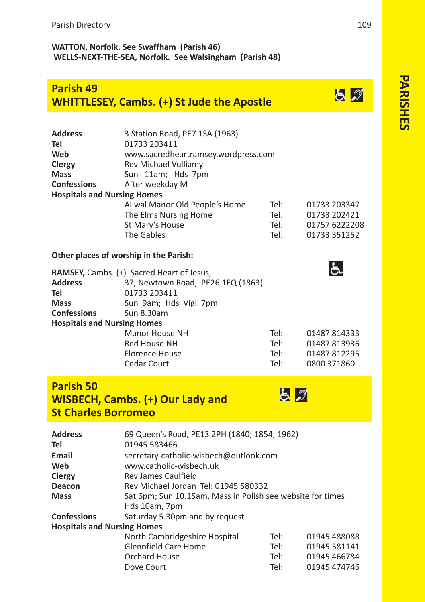## **WATTON, Norfolk. See Swaffham (Parish 46) WELLSNEXTTHESEA, Norfolk. See Walsingham (Parish 48)**

# **Parish 49 WHITTLESEY, Cambs. (+) St Jude the Apostle**

| <b>Address</b>                     | 3 Station Road, PE7 1SA (1963)                   |                                     |               |  |
|------------------------------------|--------------------------------------------------|-------------------------------------|---------------|--|
| Tel                                | 01733 203411                                     |                                     |               |  |
| Web                                |                                                  | www.sacredheartramsey.wordpress.com |               |  |
| Clergy                             | Rev Michael Vulliamy                             |                                     |               |  |
| <b>Mass</b>                        | Sun 11am; Hds 7pm                                |                                     |               |  |
| <b>Confessions</b>                 | After weekday M                                  |                                     |               |  |
| <b>Hospitals and Nursing Homes</b> |                                                  |                                     |               |  |
|                                    | Aliwal Manor Old People's Home                   | Tel:                                | 01733 203347  |  |
|                                    | The Elms Nursing Home                            | Tel:                                | 01733 202421  |  |
|                                    | St Mary's House                                  | Tel:                                | 01757 6222208 |  |
|                                    | The Gables                                       | Tel:                                | 01733 351252  |  |
|                                    | Other places of worship in the Parish:           |                                     |               |  |
|                                    | <b>RAMSEY, Cambs. (+) Sacred Heart of Jesus,</b> |                                     | ය             |  |
| <b>Address</b>                     | 37, Newtown Road, PE26 1EQ (1863)                |                                     |               |  |
| Tel                                | 01733 203411                                     |                                     |               |  |
| <b>Mass</b>                        | Sun 9am; Hds Vigil 7pm                           |                                     |               |  |
| <b>Confessions</b>                 | Sun 8.30am                                       |                                     |               |  |
| <b>Hospitals and Nursing Homes</b> |                                                  |                                     |               |  |
|                                    | Tel:<br>Manor House NH<br>01487 814333           |                                     |               |  |
|                                    | Red House NH<br>Tel:<br>01487 813936             |                                     |               |  |
|                                    | Florence House                                   | Tel:                                | 01487 812295  |  |

Cedar Court Tel: 0800 371860

 $57$ 

# **Parish 50 WISBECH, Cambs. (+) Our Lady and St Charles Borromeo**

| <b>Address</b>                     | 69 Queen's Road, PE13 2PH (1840; 1854; 1962)               |      |              |
|------------------------------------|------------------------------------------------------------|------|--------------|
| Tel                                | 01945 583466                                               |      |              |
| Email                              | secretary-catholic-wisbech@outlook.com                     |      |              |
| Web                                | www.catholic-wisbech.uk                                    |      |              |
| Clergy                             | Rev James Caulfield                                        |      |              |
| Deacon                             | Rev Michael Jordan Tel: 01945 580332                       |      |              |
| <b>Mass</b>                        | Sat 6pm; Sun 10.15am, Mass in Polish see website for times |      |              |
|                                    | Hds 10am, 7pm                                              |      |              |
| <b>Confessions</b>                 | Saturday 5.30pm and by request                             |      |              |
| <b>Hospitals and Nursing Homes</b> |                                                            |      |              |
|                                    | North Cambridgeshire Hospital                              | Tel: | 01945 488088 |
|                                    | Glennfield Care Home                                       | Tel: | 01945 581141 |
|                                    | Orchard House                                              | Tel: | 01945 466784 |
|                                    | Tel:<br>Dove Court                                         |      | 01945 474746 |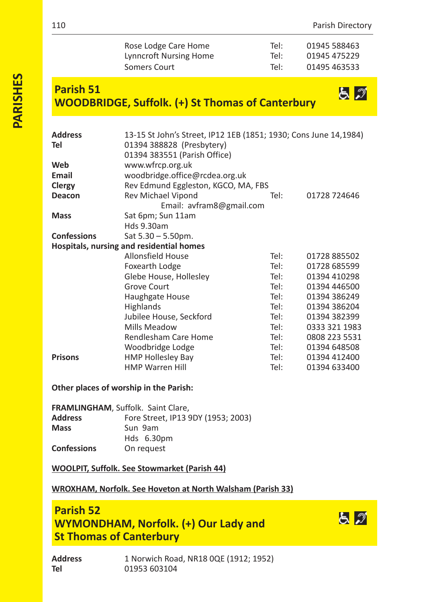とぶ

| Rose Lodge Care Home   | Tel: | 01945 588463 |
|------------------------|------|--------------|
| Lynncroft Nursing Home | Tel: | 01945 475229 |
| Somers Court           | Tel: | 01495 463533 |

# **Parish 51 WOODBRIDGE, Suffolk. (+) St Thomas of Canterbury**

| Address<br>Tel     | 13-15 St John's Street, IP12 1EB (1851; 1930; Cons June 14,1984)<br>01394 388828 (Presbytery)<br>01394 383551 (Parish Office) |      |               |
|--------------------|-------------------------------------------------------------------------------------------------------------------------------|------|---------------|
| Web                | www.wfrcp.org.uk                                                                                                              |      |               |
| Email              | woodbridge.office@rcdea.org.uk                                                                                                |      |               |
| Clergy             | Rev Edmund Eggleston, KGCO, MA, FBS                                                                                           |      |               |
| Deacon             | Rev Michael Vipond                                                                                                            | Tel: | 01728 724646  |
|                    | Email: avfram8@gmail.com                                                                                                      |      |               |
| Mass               | Sat 6pm; Sun 11am                                                                                                             |      |               |
|                    | Hds 9.30am                                                                                                                    |      |               |
| <b>Confessions</b> | $Sat 5.30 - 5.50 \text{pm}.$                                                                                                  |      |               |
|                    | Hospitals, nursing and residential homes                                                                                      |      |               |
|                    | <b>Allonsfield House</b>                                                                                                      | Tel: | 01728 885502  |
|                    | Foxearth Lodge                                                                                                                | Tel: | 01728 685599  |
|                    | Glebe House, Hollesley                                                                                                        | Tel: | 01394 410298  |
|                    | Grove Court                                                                                                                   | Tel: | 01394 446500  |
|                    | Haughgate House                                                                                                               | Tel: | 01394 386249  |
|                    | Highlands                                                                                                                     | Tel: | 01394 386204  |
|                    | Jubilee House, Seckford                                                                                                       | Tel: | 01394 382399  |
|                    | Mills Meadow                                                                                                                  | Tel: | 0333 321 1983 |
|                    | Rendlesham Care Home                                                                                                          | Tel: | 0808 223 5531 |
|                    | Woodbridge Lodge                                                                                                              | Tel: | 01394 648508  |
| <b>Prisons</b>     | <b>HMP Hollesley Bay</b>                                                                                                      | Tel: | 01394 412400  |
|                    | <b>HMP Warren Hill</b>                                                                                                        | Tel: | 01394 633400  |
|                    |                                                                                                                               |      |               |

#### **Other places of worship in the Parish:**

| <b>FRAMLINGHAM, Suffolk. Saint Clare,</b> |                                    |
|-------------------------------------------|------------------------------------|
| <b>Address</b>                            | Fore Street, IP13 9DY (1953; 2003) |
| <b>Mass</b>                               | Sun 9am                            |
|                                           | Hds 6.30pm                         |
| <b>Confessions</b>                        | On request                         |

**WOOLPIT, Suffolk. See Stowmarket (Parish 44)**

## **WROXHAM, Norfolk. See Hoveton at North Walsham (Parish 33)**

## **Parish 52 WYMONDHAM, Norfolk. (+) Our Lady and St Thomas of Canterbury**

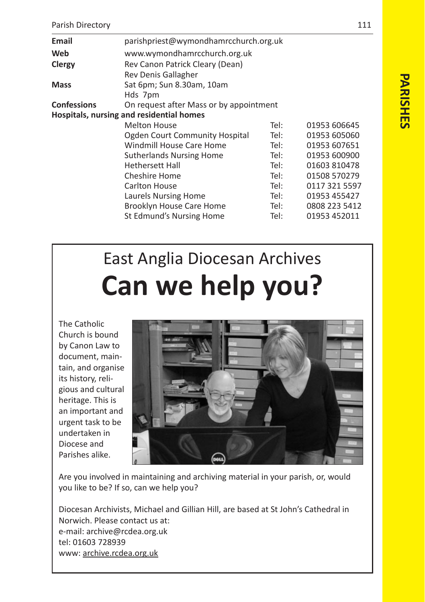| Email                                    | parishpriest@wymondhamrcchurch.org.uk                  |      |               |  |
|------------------------------------------|--------------------------------------------------------|------|---------------|--|
| Web                                      | www.wymondhamrcchurch.org.uk                           |      |               |  |
| Clergy                                   | Rev Canon Patrick Cleary (Dean)<br>Rev Denis Gallagher |      |               |  |
| <b>Mass</b>                              | Sat 6pm; Sun 8.30am, 10am<br>Hds 7pm                   |      |               |  |
| <b>Confessions</b>                       | On request after Mass or by appointment                |      |               |  |
| Hospitals, nursing and residential homes |                                                        |      |               |  |
|                                          | <b>Melton House</b>                                    | Tel: | 01953 606645  |  |
|                                          | Ogden Court Community Hospital                         | Tel: | 01953 605060  |  |
|                                          | Windmill House Care Home                               | Tel: | 01953 607651  |  |
|                                          | <b>Sutherlands Nursing Home</b>                        | Tel: | 01953 600900  |  |
|                                          | <b>Hethersett Hall</b>                                 | Tel: | 01603 810478  |  |
|                                          | Cheshire Home                                          | Tel: | 01508 570279  |  |
|                                          | Carlton House                                          | Tel: | 0117 321 5597 |  |
|                                          | Laurels Nursing Home                                   | Tel: | 01953 455427  |  |
|                                          | Brooklyn House Care Home                               | Tel: | 0808 223 5412 |  |
|                                          | St Edmund's Nursing Home                               | Tel: | 01953 452011  |  |

# East Anglia Diocesan Archives **Can we help you?**

The Catholic Church is bound by Canon Law to document, maintain, and organise its history, religious and cultural heritage. This is an important and urgent task to be undertaken in Diocese and Parishes alike.



Are you involved in maintaining and archiving material in your parish, or, would you like to be? If so, can we help you?

Diocesan Archivists, Michael and Gillian Hill, are based at St John's Cathedral in Norwich. Please contact us at: email: archive@rcdea.org.uk tel: 01603 728939 www: archive.rcdea.org.uk

**PARISHES**

**PARISHE®**